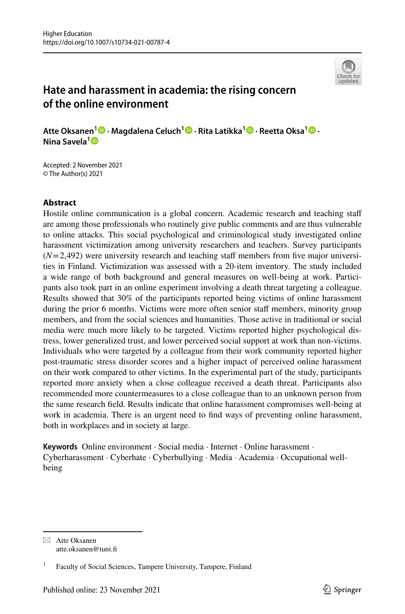

# **Hate and harassment in academia: the rising concern of the online environment**

**Atte Oksanen1  [·](http://orcid.org/0000-0003-4143-5580) Magdalena Celuch1  [·](http://orcid.org/0000-0001-8941-0396) Rita Latikka[1](http://orcid.org/0000-0003-3798-0017) · Reetta Oksa1  [·](http://orcid.org/0000-0002-8007-4653) Nina Savela[1](http://orcid.org/0000-0002-7042-6889)**

Accepted: 2 November 2021 © The Author(s) 2021

# **Abstract**

Hostile online communication is a global concern. Academic research and teaching staf are among those professionals who routinely give public comments and are thus vulnerable to online attacks. This social psychological and criminological study investigated online harassment victimization among university researchers and teachers. Survey participants  $(N=2,492)$  were university research and teaching staff members from five major universities in Finland. Victimization was assessed with a 20-item inventory. The study included a wide range of both background and general measures on well-being at work. Participants also took part in an online experiment involving a death threat targeting a colleague. Results showed that 30% of the participants reported being victims of online harassment during the prior 6 months. Victims were more often senior staff members, minority group members, and from the social sciences and humanities. Those active in traditional or social media were much more likely to be targeted. Victims reported higher psychological distress, lower generalized trust, and lower perceived social support at work than non-victims. Individuals who were targeted by a colleague from their work community reported higher post-traumatic stress disorder scores and a higher impact of perceived online harassment on their work compared to other victims. In the experimental part of the study, participants reported more anxiety when a close colleague received a death threat. Participants also recommended more countermeasures to a close colleague than to an unknown person from the same research feld. Results indicate that online harassment compromises well-being at work in academia. There is an urgent need to fnd ways of preventing online harassment, both in workplaces and in society at large.

**Keywords** Online environment · Social media · Internet · Online harassment · Cyberharassment · Cyberhate · Cyberbullying · Media · Academia · Occupational wellbeing

 $\boxtimes$  Atte Oksanen atte.oksanen@tuni.f

<sup>&</sup>lt;sup>1</sup> Faculty of Social Sciences, Tampere University, Tampere, Finland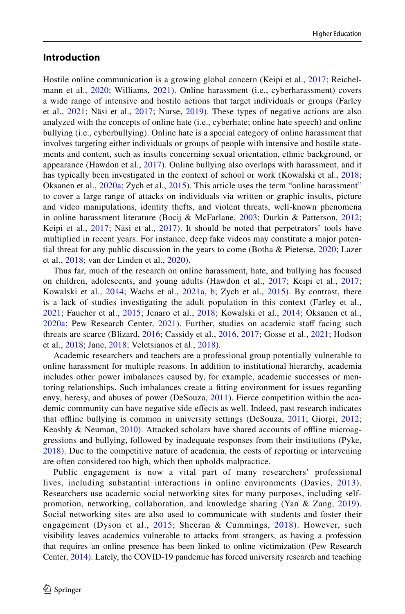## **Introduction**

Hostile online communication is a growing global concern (Keipi et al., [2017](#page-23-0); Reichel-mann et al., [2020](#page-24-0); Williams, [2021\)](#page-25-0). Online harassment (i.e., cyberharassment) covers a wide range of intensive and hostile actions that target individuals or groups (Farley et al., [2021;](#page-22-0) Näsi et al., [2017](#page-24-1); Nurse, [2019](#page-24-2)). These types of negative actions are also analyzed with the concepts of online hate (i.e., cyberhate; online hate speech) and online bullying (i.e., cyberbullying). Online hate is a special category of online harassment that involves targeting either individuals or groups of people with intensive and hostile statements and content, such as insults concerning sexual orientation, ethnic background, or appearance (Hawdon et al., [2017](#page-23-1)). Online bullying also overlaps with harassment, and it has typically been investigated in the context of school or work (Kowalski et al., [2018;](#page-23-2) Oksanen et al., [2020a;](#page-24-3) Zych et al., [2015\)](#page-26-0). This article uses the term "online harassment" to cover a large range of attacks on individuals via written or graphic insults, picture and video manipulations, identity thefts, and violent threats, well-known phenomena in online harassment literature (Bocij & McFarlane, [2003](#page-21-0); Durkin & Patterson, [2012;](#page-22-1) Keipi et al., [2017](#page-24-1); Näsi et al., 2017). It should be noted that perpetrators' tools have multiplied in recent years. For instance, deep fake videos may constitute a major potential threat for any public discussion in the years to come (Botha & Pieterse, [2020](#page-21-1); Lazer et al., [2018](#page-23-3); van der Linden et al., [2020](#page-25-1)).

Thus far, much of the research on online harassment, hate, and bullying has focused on children, adolescents, and young adults (Hawdon et al., [2017](#page-23-1); Keipi et al., [2017;](#page-23-0) Kowalski et al.,  $2014$ ; Wachs et al.,  $2021a$ , [b](#page-25-3); Zych et al.,  $2015$ ). By contrast, there is a lack of studies investigating the adult population in this context (Farley et al., [2021](#page-22-0); Faucher et al., [2015](#page-22-2); Jenaro et al., [2018;](#page-23-5) Kowalski et al., [2014](#page-23-4); Oksanen et al., [2020a;](#page-24-3) Pew Research Center, [2021](#page-24-4)). Further, studies on academic staf facing such threats are scarce (Blizard, [2016](#page-21-2); Cassidy et al., [2016,](#page-21-3) [2017](#page-21-4); Gosse et al., [2021](#page-22-3); Hodson et al., [2018](#page-23-6); Jane, [2018;](#page-23-7) Veletsianos et al., [2018](#page-25-4)).

Academic researchers and teachers are a professional group potentially vulnerable to online harassment for multiple reasons. In addition to institutional hierarchy, academia includes other power imbalances caused by, for example, academic successes or mentoring relationships. Such imbalances create a ftting environment for issues regarding envy, heresy, and abuses of power (DeSouza, [2011\)](#page-22-4). Fierce competition within the academic community can have negative side effects as well. Indeed, past research indicates that ofine bullying is common in university settings (DeSouza, [2011;](#page-22-4) Giorgi, [2012;](#page-22-5) Keashly & Neuman, [2010\)](#page-23-8). Attacked scholars have shared accounts of offline microaggressions and bullying, followed by inadequate responses from their institutions (Pyke, [2018](#page-24-5)). Due to the competitive nature of academia, the costs of reporting or intervening are often considered too high, which then upholds malpractice.

Public engagement is now a vital part of many researchers' professional lives, including substantial interactions in online environments (Davies, [2013\)](#page-22-6). Researchers use academic social networking sites for many purposes, including selfpromotion, networking, collaboration, and knowledge sharing (Yan & Zang, [2019\)](#page-25-5). Social networking sites are also used to communicate with students and foster their engagement (Dyson et al., [2015](#page-22-7); Sheeran & Cummings, [2018\)](#page-25-6). However, such visibility leaves academics vulnerable to attacks from strangers, as having a profession that requires an online presence has been linked to online victimization (Pew Research Center, [2014](#page-24-6)). Lately, the COVID-19 pandemic has forced university research and teaching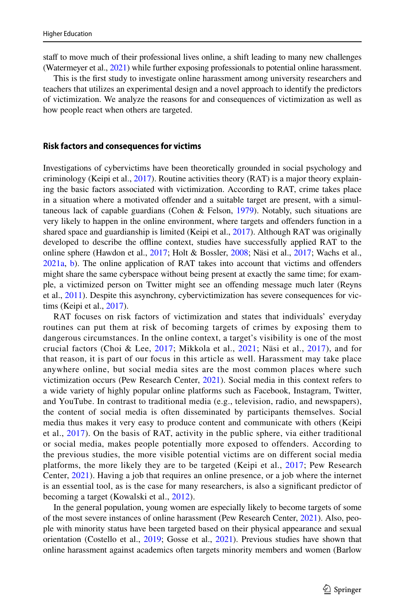staff to move much of their professional lives online, a shift leading to many new challenges (Watermeyer et al., [2021\)](#page-25-7) while further exposing professionals to potential online harassment.

This is the frst study to investigate online harassment among university researchers and teachers that utilizes an experimental design and a novel approach to identify the predictors of victimization. We analyze the reasons for and consequences of victimization as well as how people react when others are targeted.

#### **Risk factors and consequences for victims**

Investigations of cybervictims have been theoretically grounded in social psychology and criminology (Keipi et al., [2017](#page-23-0)). Routine activities theory (RAT) is a major theory explaining the basic factors associated with victimization. According to RAT, crime takes place in a situation where a motivated ofender and a suitable target are present, with a simultaneous lack of capable guardians (Cohen & Felson,  $1979$ ). Notably, such situations are very likely to happen in the online environment, where targets and ofenders function in a shared space and guardianship is limited (Keipi et al., [2017\)](#page-23-0). Although RAT was originally developed to describe the ofine context, studies have successfully applied RAT to the online sphere (Hawdon et al., [2017;](#page-23-1) Holt & Bossler, [2008;](#page-23-9) Näsi et al., [2017](#page-24-1); Wachs et al., [2021a,](#page-25-2) [b\)](#page-25-3). The online application of RAT takes into account that victims and ofenders might share the same cyberspace without being present at exactly the same time; for example, a victimized person on Twitter might see an ofending message much later (Reyns et al., [2011](#page-24-7)). Despite this asynchrony, cybervictimization has severe consequences for victims (Keipi et al., [2017](#page-23-0)).

RAT focuses on risk factors of victimization and states that individuals' everyday routines can put them at risk of becoming targets of crimes by exposing them to dangerous circumstances. In the online context, a target's visibility is one of the most crucial factors (Choi & Lee, [2017](#page-21-6); Mikkola et al., [2021;](#page-24-8) Näsi et al., [2017\)](#page-24-1), and for that reason, it is part of our focus in this article as well. Harassment may take place anywhere online, but social media sites are the most common places where such victimization occurs (Pew Research Center, [2021](#page-24-4)). Social media in this context refers to a wide variety of highly popular online platforms such as Facebook, Instagram, Twitter, and YouTube. In contrast to traditional media (e.g., television, radio, and newspapers), the content of social media is often disseminated by participants themselves. Social media thus makes it very easy to produce content and communicate with others (Keipi et al., [2017](#page-23-0)). On the basis of RAT, activity in the public sphere, via either traditional or social media, makes people potentially more exposed to offenders. According to the previous studies, the more visible potential victims are on different social media platforms, the more likely they are to be targeted (Keipi et al., [2017;](#page-23-0) Pew Research Center, [2021](#page-24-4)). Having a job that requires an online presence, or a job where the internet is an essential tool, as is the case for many researchers, is also a signifcant predictor of becoming a target (Kowalski et al., [2012](#page-23-10)).

In the general population, young women are especially likely to become targets of some of the most severe instances of online harassment (Pew Research Center, [2021\)](#page-24-4). Also, people with minority status have been targeted based on their physical appearance and sexual orientation (Costello et al., [2019](#page-21-7); Gosse et al., [2021](#page-22-3)). Previous studies have shown that online harassment against academics often targets minority members and women (Barlow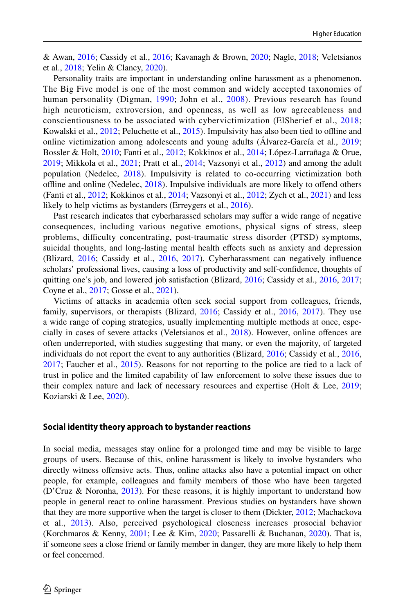& Awan, [2016](#page-21-8); Cassidy et al., [2016;](#page-21-3) Kavanagh & Brown, [2020](#page-23-11); Nagle, [2018;](#page-24-9) Veletsianos et al., [2018;](#page-25-4) Yelin & Clancy, [2020\)](#page-26-1).

Personality traits are important in understanding online harassment as a phenomenon. The Big Five model is one of the most common and widely accepted taxonomies of human personality (Digman, [1990](#page-22-8); John et al., [2008](#page-23-12)). Previous research has found high neuroticism, extroversion, and openness, as well as low agreeableness and conscientiousness to be associated with cybervictimization (ElSherief et al., [2018;](#page-22-9) Kowalski et al., [2012;](#page-23-10) Peluchette et al., [2015](#page-24-10)). Impulsivity has also been tied to ofine and online victimization among adolescents and young adults (Álvarez-García et al., [2019;](#page-21-9) Bossler & Holt, [2010](#page-21-10); Fanti et al., [2012](#page-22-10); Kokkinos et al., [2014;](#page-23-13) López-Larrañaga & Orue, [2019;](#page-24-11) Mikkola et al., [2021](#page-24-8); Pratt et al., [2014](#page-24-12); Vazsonyi et al., [2012](#page-25-8)) and among the adult population (Nedelec, [2018](#page-24-13)). Impulsivity is related to co-occurring victimization both ofine and online (Nedelec, [2018](#page-24-13)). Impulsive individuals are more likely to ofend others (Fanti et al., [2012;](#page-22-10) Kokkinos et al., [2014;](#page-23-13) Vazsonyi et al., [2012](#page-25-8); Zych et al., [2021](#page-26-2)) and less likely to help victims as bystanders (Erreygers et al., [2016](#page-22-11)).

Past research indicates that cyberharassed scholars may suffer a wide range of negative consequences, including various negative emotions, physical signs of stress, sleep problems, difculty concentrating, post-traumatic stress disorder (PTSD) symptoms, suicidal thoughts, and long-lasting mental health efects such as anxiety and depression (Blizard, [2016;](#page-21-2) Cassidy et al., [2016](#page-21-3), [2017\)](#page-21-4). Cyberharassment can negatively infuence scholars' professional lives, causing a loss of productivity and self-confdence, thoughts of quitting one's job, and lowered job satisfaction (Blizard, [2016;](#page-21-2) Cassidy et al., [2016,](#page-21-3) [2017;](#page-21-4) Coyne et al., [2017;](#page-21-11) Gosse et al., [2021\)](#page-22-3).

Victims of attacks in academia often seek social support from colleagues, friends, family, supervisors, or therapists (Blizard, [2016](#page-21-2); Cassidy et al., [2016,](#page-21-3) [2017](#page-21-4)). They use a wide range of coping strategies, usually implementing multiple methods at once, especially in cases of severe attacks (Veletsianos et al., [2018\)](#page-25-4). However, online ofences are often underreported, with studies suggesting that many, or even the majority, of targeted individuals do not report the event to any authorities (Blizard, [2016;](#page-21-2) Cassidy et al., [2016](#page-21-3), [2017;](#page-21-4) Faucher et al., [2015](#page-22-2)). Reasons for not reporting to the police are tied to a lack of trust in police and the limited capability of law enforcement to solve these issues due to their complex nature and lack of necessary resources and expertise (Holt & Lee, [2019;](#page-23-14) Koziarski & Lee, [2020\)](#page-23-15).

#### **Social identity theory approach to bystander reactions**

In social media, messages stay online for a prolonged time and may be visible to large groups of users. Because of this, online harassment is likely to involve bystanders who directly witness ofensive acts. Thus, online attacks also have a potential impact on other people, for example, colleagues and family members of those who have been targeted (D'Cruz & Noronha, [2013\)](#page-22-12). For these reasons, it is highly important to understand how people in general react to online harassment. Previous studies on bystanders have shown that they are more supportive when the target is closer to them (Dickter, [2012](#page-22-13); Machackova et al., [2013](#page-24-14)). Also, perceived psychological closeness increases prosocial behavior (Korchmaros & Kenny, [2001;](#page-23-16) Lee & Kim, [2020](#page-23-17); Passarelli & Buchanan, [2020](#page-24-15)). That is, if someone sees a close friend or family member in danger, they are more likely to help them or feel concerned.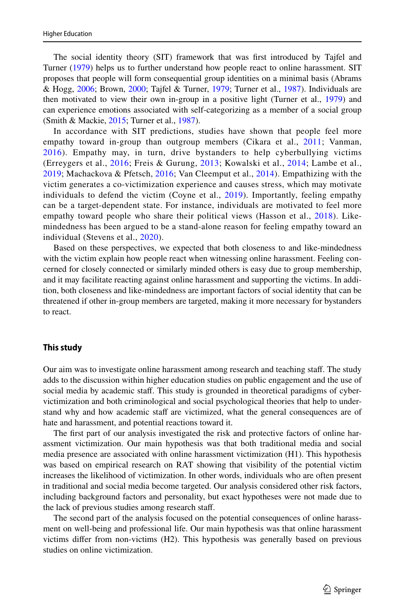The social identity theory (SIT) framework that was frst introduced by Tajfel and Turner ([1979\)](#page-25-9) helps us to further understand how people react to online harassment. SIT proposes that people will form consequential group identities on a minimal basis (Abrams & Hogg, [2006;](#page-21-12) Brown, [2000](#page-21-13); Tajfel & Turner, [1979](#page-25-9); Turner et al., [1987\)](#page-25-10). Individuals are then motivated to view their own in-group in a positive light (Turner et al., [1979\)](#page-25-11) and can experience emotions associated with self-categorizing as a member of a social group (Smith & Mackie, [2015;](#page-25-12) Turner et al., [1987](#page-25-10)).

In accordance with SIT predictions, studies have shown that people feel more empathy toward in-group than outgroup members (Cikara et al., [2011](#page-21-14); Vanman, [2016](#page-25-13)). Empathy may, in turn, drive bystanders to help cyberbullying victims (Erreygers et al., [2016](#page-22-11); Freis & Gurung, [2013;](#page-22-14) Kowalski et al., [2014](#page-23-4); Lambe et al., [2019;](#page-23-18) Machackova & Pfetsch, [2016;](#page-24-16) Van Cleemput et al., [2014\)](#page-25-14). Empathizing with the victim generates a co-victimization experience and causes stress, which may motivate individuals to defend the victim (Coyne et al., [2019\)](#page-22-15). Importantly, feeling empathy can be a target-dependent state. For instance, individuals are motivated to feel more empathy toward people who share their political views (Hasson et al., [2018](#page-23-19)). Likemindedness has been argued to be a stand-alone reason for feeling empathy toward an individual (Stevens et al., [2020\)](#page-25-15).

Based on these perspectives, we expected that both closeness to and like-mindedness with the victim explain how people react when witnessing online harassment. Feeling concerned for closely connected or similarly minded others is easy due to group membership, and it may facilitate reacting against online harassment and supporting the victims. In addition, both closeness and like-mindedness are important factors of social identity that can be threatened if other in-group members are targeted, making it more necessary for bystanders to react.

#### **This study**

Our aim was to investigate online harassment among research and teaching staf. The study adds to the discussion within higher education studies on public engagement and the use of social media by academic staff. This study is grounded in theoretical paradigms of cybervictimization and both criminological and social psychological theories that help to understand why and how academic staff are victimized, what the general consequences are of hate and harassment, and potential reactions toward it.

The frst part of our analysis investigated the risk and protective factors of online harassment victimization. Our main hypothesis was that both traditional media and social media presence are associated with online harassment victimization (H1). This hypothesis was based on empirical research on RAT showing that visibility of the potential victim increases the likelihood of victimization. In other words, individuals who are often present in traditional and social media become targeted. Our analysis considered other risk factors, including background factors and personality, but exact hypotheses were not made due to the lack of previous studies among research staf.

The second part of the analysis focused on the potential consequences of online harassment on well-being and professional life. Our main hypothesis was that online harassment victims difer from non-victims (H2). This hypothesis was generally based on previous studies on online victimization.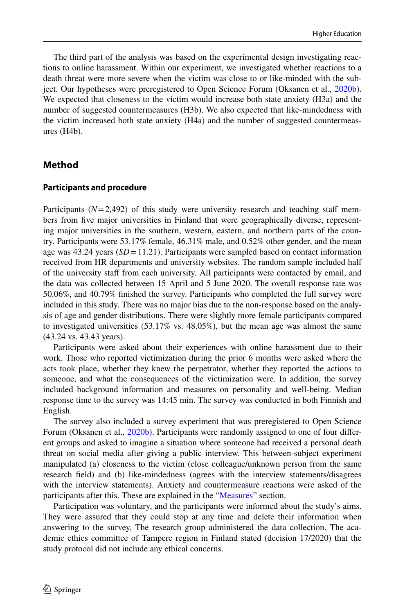The third part of the analysis was based on the experimental design investigating reactions to online harassment. Within our experiment, we investigated whether reactions to a death threat were more severe when the victim was close to or like-minded with the subject. Our hypotheses were preregistered to Open Science Forum (Oksanen et al., [2020b](#page-24-17)). We expected that closeness to the victim would increase both state anxiety (H3a) and the number of suggested countermeasures (H3b). We also expected that like-mindedness with the victim increased both state anxiety (H4a) and the number of suggested countermeasures (H4b).

## **Method**

#### **Participants and procedure**

Participants  $(N=2,492)$  of this study were university research and teaching staff members from five major universities in Finland that were geographically diverse, representing major universities in the southern, western, eastern, and northern parts of the country. Participants were 53.17% female, 46.31% male, and 0.52% other gender, and the mean age was 43.24 years (*SD*=11.21). Participants were sampled based on contact information received from HR departments and university websites. The random sample included half of the university staf from each university. All participants were contacted by email, and the data was collected between 15 April and 5 June 2020. The overall response rate was 50.06%, and 40.79% fnished the survey. Participants who completed the full survey were included in this study. There was no major bias due to the non-response based on the analysis of age and gender distributions. There were slightly more female participants compared to investigated universities (53.17% vs. 48.05%), but the mean age was almost the same (43.24 vs. 43.43 years).

Participants were asked about their experiences with online harassment due to their work. Those who reported victimization during the prior 6 months were asked where the acts took place, whether they knew the perpetrator, whether they reported the actions to someone, and what the consequences of the victimization were. In addition, the survey included background information and measures on personality and well-being. Median response time to the survey was 14:45 min. The survey was conducted in both Finnish and English.

The survey also included a survey experiment that was preregistered to Open Science Forum (Oksanen et al., [2020b\)](#page-24-17). Participants were randomly assigned to one of four different groups and asked to imagine a situation where someone had received a personal death threat on social media after giving a public interview. This between-subject experiment manipulated (a) closeness to the victim (close colleague/unknown person from the same research feld) and (b) like-mindedness (agrees with the interview statements/disagrees with the interview statements). Anxiety and countermeasure reactions were asked of the participants after this. These are explained in the ["Measures"](#page-6-0) section.

Participation was voluntary, and the participants were informed about the study's aims. They were assured that they could stop at any time and delete their information when answering to the survey. The research group administered the data collection. The academic ethics committee of Tampere region in Finland stated (decision 17/2020) that the study protocol did not include any ethical concerns.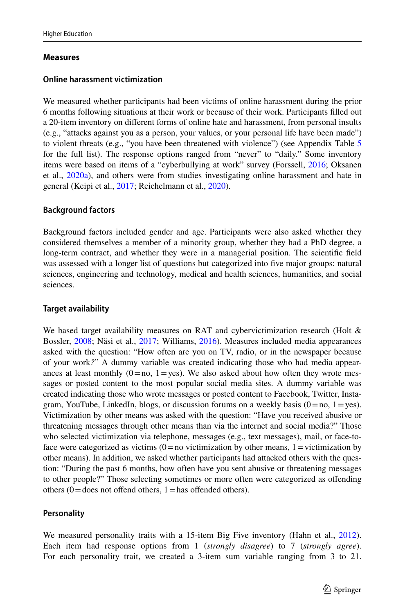## <span id="page-6-0"></span>**Measures**

# **Online harassment victimization**

We measured whether participants had been victims of online harassment during the prior 6 months following situations at their work or because of their work. Participants flled out a 20-item inventory on diferent forms of online hate and harassment, from personal insults (e.g., "attacks against you as a person, your values, or your personal life have been made") to violent threats (e.g., "you have been threatened with violence") (see Appendix Table [5](#page-19-0) for the full list). The response options ranged from "never" to "daily." Some inventory items were based on items of a "cyberbullying at work" survey (Forssell, [2016;](#page-22-16) Oksanen et al., [2020a\)](#page-24-3), and others were from studies investigating online harassment and hate in general (Keipi et al., [2017;](#page-23-0) Reichelmann et al., [2020\)](#page-24-0).

# **Background factors**

Background factors included gender and age. Participants were also asked whether they considered themselves a member of a minority group, whether they had a PhD degree, a long-term contract, and whether they were in a managerial position. The scientifc feld was assessed with a longer list of questions but categorized into fve major groups: natural sciences, engineering and technology, medical and health sciences, humanities, and social sciences.

# **Target availability**

We based target availability measures on RAT and cybervictimization research (Holt & Bossler, [2008;](#page-23-9) Näsi et al., [2017](#page-24-1); Williams, [2016](#page-25-16)). Measures included media appearances asked with the question: "How often are you on TV, radio, or in the newspaper because of your work*?*" A dummy variable was created indicating those who had media appearances at least monthly  $(0=no, 1=yes)$ . We also asked about how often they wrote messages or posted content to the most popular social media sites. A dummy variable was created indicating those who wrote messages or posted content to Facebook, Twitter, Instagram, YouTube, LinkedIn, blogs, or discussion forums on a weekly basis  $(0=no, 1=yes)$ . Victimization by other means was asked with the question: "Have you received abusive or threatening messages through other means than via the internet and social media?" Those who selected victimization via telephone, messages (e.g., text messages), mail, or face-toface were categorized as victims  $(0=$  no victimization by other means,  $1=$  victimization by other means). In addition, we asked whether participants had attacked others with the question: "During the past 6 months, how often have you sent abusive or threatening messages to other people?" Those selecting sometimes or more often were categorized as ofending others  $(0 =$  does not offend others,  $1 =$  has offended others).

# **Personality**

We measured personality traits with a 15-item Big Five inventory (Hahn et al., [2012\)](#page-22-17). Each item had response options from 1 (*strongly disagree*) to 7 (*strongly agree*). For each personality trait, we created a 3-item sum variable ranging from 3 to 21.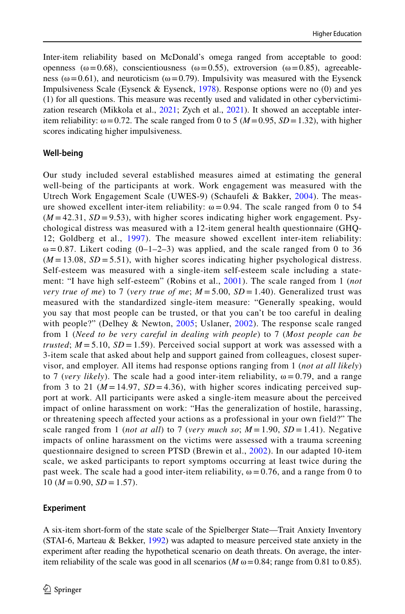Inter-item reliability based on McDonald's omega ranged from acceptable to good: openness ( $\omega$ =0.68), conscientiousness ( $\omega$ =0.55), extroversion ( $\omega$ =0.85), agreeableness ( $\omega$ =0.61), and neuroticism ( $\omega$ =0.79). Impulsivity was measured with the Eysenck Impulsiveness Scale (Eysenck & Eysenck,  $1978$ ). Response options were no (0) and yes (1) for all questions. This measure was recently used and validated in other cybervictimization research (Mikkola et al., [2021](#page-24-8); Zych et al., [2021](#page-26-2)). It showed an acceptable interitem reliability:  $\omega = 0.72$ . The scale ranged from 0 to 5 ( $M = 0.95$ ,  $SD = 1.32$ ), with higher scores indicating higher impulsiveness.

#### **Well‑being**

Our study included several established measures aimed at estimating the general well-being of the participants at work. Work engagement was measured with the Utrech Work Engagement Scale (UWES-9) (Schaufeli & Bakker, [2004](#page-25-17)). The measure showed excellent inter-item reliability:  $\omega = 0.94$ . The scale ranged from 0 to 54  $(M = 42.31, SD = 9.53)$ , with higher scores indicating higher work engagement. Psychological distress was measured with a 12-item general health questionnaire (GHQ-12; Goldberg et al., [1997\)](#page-22-19). The measure showed excellent inter-item reliability:  $\omega$  = 0.87. Likert coding (0–1–2–3) was applied, and the scale ranged from 0 to 36  $(M = 13.08, SD = 5.51)$ , with higher scores indicating higher psychological distress. Self-esteem was measured with a single-item self-esteem scale including a statement: "I have high self-esteem" (Robins et al., [2001](#page-25-18)). The scale ranged from 1 (*not very true of me*) to 7 (*very true of me*;  $M = 5.00$ ,  $SD = 1.40$ ). Generalized trust was measured with the standardized single-item measure: "Generally speaking, would you say that most people can be trusted, or that you can't be too careful in dealing with people?" (Delhey & Newton, [2005](#page-22-20); Uslaner, [2002\)](#page-25-19). The response scale ranged from 1 (*Need to be very careful in dealing with people*) to 7 (*Most people can be trusted*;  $M = 5.10$ ,  $SD = 1.59$ . Perceived social support at work was assessed with a 3-item scale that asked about help and support gained from colleagues, closest supervisor, and employer. All items had response options ranging from 1 (*not at all likely*) to 7 (*very likely*). The scale had a good inter-item reliability,  $\omega = 0.79$ , and a range from 3 to 21 ( $M = 14.97$ ,  $SD = 4.36$ ), with higher scores indicating perceived support at work. All participants were asked a single-item measure about the perceived impact of online harassment on work: "Has the generalization of hostile, harassing, or threatening speech affected your actions as a professional in your own field?" The scale ranged from 1 (*not at all*) to 7 (*very much so*;  $M = 1.90$ ,  $SD = 1.41$ ). Negative impacts of online harassment on the victims were assessed with a trauma screening questionnaire designed to screen PTSD (Brewin et al., [2002\)](#page-21-15). In our adapted 10-item scale, we asked participants to report symptoms occurring at least twice during the past week. The scale had a good inter-item reliability,  $\omega = 0.76$ , and a range from 0 to  $10 (M = 0.90, SD = 1.57).$ 

## **Experiment**

A six-item short-form of the state scale of the Spielberger State—Trait Anxiety Inventory (STAI-6, Marteau & Bekker, [1992\)](#page-24-18) was adapted to measure perceived state anxiety in the experiment after reading the hypothetical scenario on death threats. On average, the interitem reliability of the scale was good in all scenarios ( $M \omega = 0.84$ ; range from 0.81 to 0.85).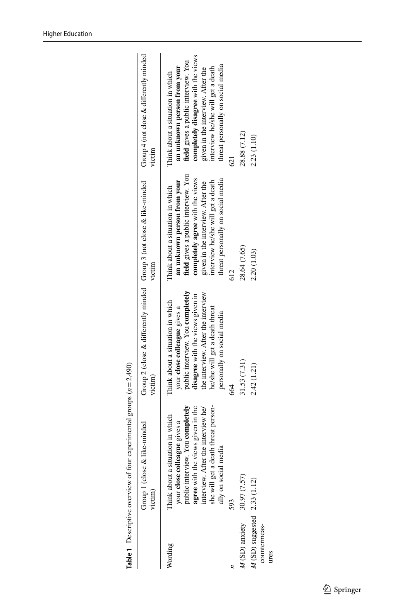|                                                          | & like-minded<br>Group 1 (close<br>victim)                                                                                                                                                                                                       | Group 2 (close & differently minded Group 3 (not close & like-minded<br>victim)                                                                                                                                                                | victim                                                                                                                                                                                                                                                   | Group $4$ (not close $\&$ differently minded<br>victim                                                                                                                                                                                                      |
|----------------------------------------------------------|--------------------------------------------------------------------------------------------------------------------------------------------------------------------------------------------------------------------------------------------------|------------------------------------------------------------------------------------------------------------------------------------------------------------------------------------------------------------------------------------------------|----------------------------------------------------------------------------------------------------------------------------------------------------------------------------------------------------------------------------------------------------------|-------------------------------------------------------------------------------------------------------------------------------------------------------------------------------------------------------------------------------------------------------------|
| Vording                                                  | she will get a death threat person-<br>public interview. You completely<br>agree with the views given in the<br>interview. After the interview he/<br>hink about a situation in which<br>your close colleague gives a<br>media<br>ally on social | public interview. You completely<br>the interview. After the interview<br>disagree with the views given in<br>Think about a situation in which<br>he/she will get a death threat<br>your close colleague gives a<br>personally on social media | field gives a public interview. You<br>completely agree with the views<br>threat personally on social media<br>an unknown person from your<br>interview he/she will get a death<br>given in the interview. After the<br>Think about a situation in which | completely disagree with the views<br>field gives a public interview. You<br>threat personally on social media<br>an unknown person from your<br>interview he/she will get a death<br>given in the interview. After the<br>Think about a situation in which |
|                                                          | 593                                                                                                                                                                                                                                              | 88                                                                                                                                                                                                                                             | 612                                                                                                                                                                                                                                                      | $\overline{\omega}$                                                                                                                                                                                                                                         |
| M(SD) anxiety                                            | 30.97 (7.57)                                                                                                                                                                                                                                     | 31.53 (7.31)                                                                                                                                                                                                                                   | 28.64 (7.65)                                                                                                                                                                                                                                             | 28.88 (7.12)                                                                                                                                                                                                                                                |
| $M$ (SD) suggested $2.33$ (1.12)<br>countermeas-<br>ures |                                                                                                                                                                                                                                                  | 2.42(1.21)                                                                                                                                                                                                                                     | 2.20 (1.03)                                                                                                                                                                                                                                              | 2.23 (1.10)                                                                                                                                                                                                                                                 |
|                                                          |                                                                                                                                                                                                                                                  |                                                                                                                                                                                                                                                |                                                                                                                                                                                                                                                          |                                                                                                                                                                                                                                                             |

<span id="page-8-0"></span>**Table 1** Descriptive overview of four experimental groups  $(n = 2,490)$ **Table 1** Descriptive overview of four experimental groups (*n*=2,490)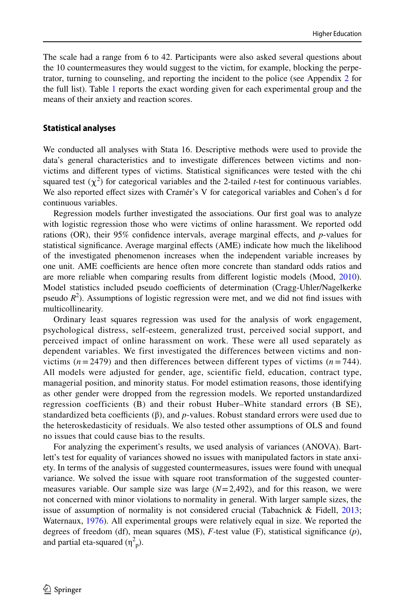The scale had a range from 6 to 42. Participants were also asked several questions about the 10 countermeasures they would suggest to the victim, for example, blocking the perpetrator, turning to counseling, and reporting the incident to the police (see Appendix [2](#page-20-0) for the full list). Table [1](#page-8-0) reports the exact wording given for each experimental group and the means of their anxiety and reaction scores.

#### **Statistical analyses**

We conducted all analyses with Stata 16. Descriptive methods were used to provide the data's general characteristics and to investigate diferences between victims and nonvictims and diferent types of victims. Statistical signifcances were tested with the chi squared test  $(\chi^2)$  for categorical variables and the 2-tailed *t*-test for continuous variables. We also reported efect sizes with Cramér's V for categorical variables and Cohen's d for continuous variables.

Regression models further investigated the associations. Our frst goal was to analyze with logistic regression those who were victims of online harassment. We reported odd rations (OR), their 95% confdence intervals, average marginal efects, and *p*-values for statistical signifcance. Average marginal efects (AME) indicate how much the likelihood of the investigated phenomenon increases when the independent variable increases by one unit. AME coefficients are hence often more concrete than standard odds ratios and are more reliable when comparing results from diferent logistic models (Mood, [2010](#page-24-19)). Model statistics included pseudo coefficients of determination (Cragg-Uhler/Nagelkerke pseudo  $R^2$ ). Assumptions of logistic regression were met, and we did not find issues with multicollinearity.

Ordinary least squares regression was used for the analysis of work engagement, psychological distress, self-esteem, generalized trust, perceived social support, and perceived impact of online harassment on work. These were all used separately as dependent variables. We first investigated the differences between victims and nonvictims ( $n = 2479$ ) and then differences between different types of victims ( $n = 744$ ). All models were adjusted for gender, age, scientific field, education, contract type, managerial position, and minority status. For model estimation reasons, those identifying as other gender were dropped from the regression models. We reported unstandardized regression coefficients (B) and their robust Huber–White standard errors (B SE), standardized beta coefficients  $(\beta)$ , and *p*-values. Robust standard errors were used due to the heteroskedasticity of residuals. We also tested other assumptions of OLS and found no issues that could cause bias to the results.

For analyzing the experiment's results, we used analysis of variances (ANOVA). Bartlett's test for equality of variances showed no issues with manipulated factors in state anxiety. In terms of the analysis of suggested countermeasures, issues were found with unequal variance. We solved the issue with square root transformation of the suggested countermeasures variable. Our sample size was large  $(N=2,492)$ , and for this reason, we were not concerned with minor violations to normality in general. With larger sample sizes, the issue of assumption of normality is not considered crucial (Tabachnick & Fidell, [2013;](#page-25-20) Waternaux, [1976](#page-25-21)). All experimental groups were relatively equal in size. We reported the degrees of freedom (df), mean squares (MS), *F*-test value (F), statistical signifcance (*p*), and partial eta-squared  $(\eta^2$ <sub>p</sub>).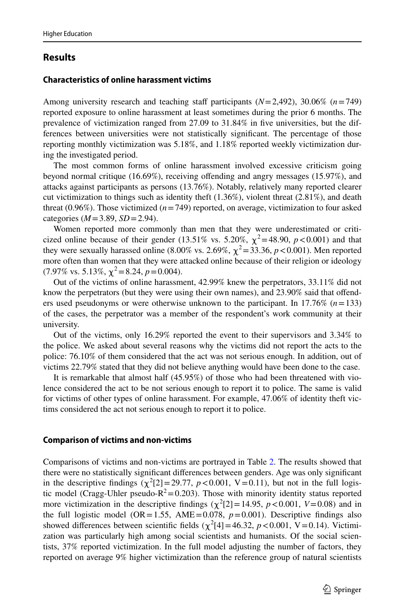# **Results**

#### **Characteristics of online harassment victims**

Among university research and teaching staff participants  $(N=2,492)$ , 30.06%  $(n=749)$ reported exposure to online harassment at least sometimes during the prior 6 months. The prevalence of victimization ranged from 27.09 to 31.84% in fve universities, but the differences between universities were not statistically signifcant. The percentage of those reporting monthly victimization was 5.18%, and 1.18% reported weekly victimization during the investigated period.

The most common forms of online harassment involved excessive criticism going beyond normal critique (16.69%), receiving ofending and angry messages (15.97%), and attacks against participants as persons (13.76%). Notably, relatively many reported clearer cut victimization to things such as identity theft  $(1.36\%)$ , violent threat  $(2.81\%)$ , and death threat (0.96%). Those victimized ( $n=749$ ) reported, on average, victimization to four asked categories (*M*=3.89, *SD*=2.94).

Women reported more commonly than men that they were underestimated or criticized online because of their gender (13.51% vs. 5.20%,  $\chi^2$ =48.90, *p*<0.001) and that they were sexually harassed online (8.00% vs. 2.69%,  $\chi^2$  = 33.36, *p* < 0.001). Men reported more often than women that they were attacked online because of their religion or ideology  $(7.97\% \text{ vs. } 5.13\%, \chi^2 = 8.24, p = 0.004).$ 

Out of the victims of online harassment, 42.99% knew the perpetrators, 33.11% did not know the perpetrators (but they were using their own names), and 23.90% said that ofenders used pseudonyms or were otherwise unknown to the participant. In 17.76% (*n*=133) of the cases, the perpetrator was a member of the respondent's work community at their university.

Out of the victims, only 16.29% reported the event to their supervisors and 3.34% to the police. We asked about several reasons why the victims did not report the acts to the police: 76.10% of them considered that the act was not serious enough. In addition, out of victims 22.79% stated that they did not believe anything would have been done to the case.

It is remarkable that almost half (45.95%) of those who had been threatened with violence considered the act to be not serious enough to report it to police. The same is valid for victims of other types of online harassment. For example, 47.06% of identity theft victims considered the act not serious enough to report it to police.

#### **Comparison of victims and non‑victims**

Comparisons of victims and non-victims are portrayed in Table [2](#page-11-0). The results showed that there were no statistically signifcant diferences between genders. Age was only signifcant in the descriptive findings  $(\chi^2[2] = 29.77, p < 0.001, V = 0.11)$ , but not in the full logistic model (Cragg-Uhler pseudo- $R^2$  = 0.203). Those with minority identity status reported more victimization in the descriptive findings  $(\chi^2[2] = 14.95, p < 0.001, V = 0.08)$  and in the full logistic model (OR=1.55, AME=0.078,  $p=0.001$ ). Descriptive findings also showed differences between scientific fields  $(\chi^2[4] = 46.32, p < 0.001, V = 0.14)$ . Victimization was particularly high among social scientists and humanists. Of the social scientists, 37% reported victimization. In the full model adjusting the number of factors, they reported on average 9% higher victimization than the reference group of natural scientists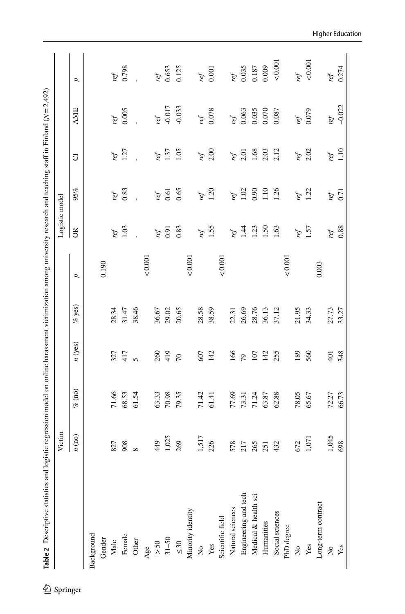<span id="page-11-0"></span>

|                      | Victim   |           |                  |          |         | Logistic model |                             |      |                 |              |
|----------------------|----------|-----------|------------------|----------|---------|----------------|-----------------------------|------|-----------------|--------------|
|                      | n (no)   | $\%$ (no) | n(yes)           | $%$ yes) | U       | $\alpha$       | 95%                         | J    | <b>AME</b>      | U            |
| Background           |          |           |                  |          |         |                |                             |      |                 |              |
| Gender               |          |           |                  |          | 0.190   |                |                             |      |                 |              |
| Male                 | 827      | 71.66     | 327              | 28.34    |         | ref            | ref                         | ref  | ref             | ref          |
| Female               | 908      | 68.53     | 417              | 31.47    |         | 1.03           | 0.83                        | 1.27 | 0.005           | 0.798        |
| Other                | $\infty$ | 61.54     | $\mathbf{v}$     | 38.46    |         |                |                             |      |                 |              |
| Age                  |          |           |                  |          | 0.001   |                |                             |      |                 |              |
| $> 50$               | 449      | 63.33     | 260              | 36.67    |         | ref            | ref                         | ref  | ref             | ref          |
| $31 - 50$            | 1,025    | 70.98     | 419              | 29.02    |         | 0.91           | 0.61                        | 1.37 | $-0.017$        | 0.653        |
| $\leq 30$            | 269      | 79.35     | $\overline{70}$  | 20.65    |         | 0.83           | 0.65                        | 1.05 | $-0.033$        | 0.125        |
| Minority identity    |          |           |                  |          | 0.001   |                |                             |      |                 |              |
| $\mathsf{S}$         | 1,517    | 71.42     | 607              | 28.58    |         | ref            |                             | ref  | ref             | ref          |
| Yes                  | 226      | 61.41     | 142              | 38.59    |         | 1.55           | ref<br>1.20                 | 2.00 | $0.078\,$       | 0.001        |
| Scientific field     |          |           |                  |          | 0.001   |                |                             |      |                 |              |
| Natural sciences     | 578      | 77.69     | 166              | 22.31    |         | ref            |                             | ref  |                 |              |
| Engineering and tech | 217      | 73.31     | 79               | 26.69    |         | $\ddot{4}$     | $\frac{m}{5}$ $\frac{m}{2}$ | 2.01 | ref<br>$10.063$ | ref $10.035$ |
| Medical & health sci | 265      | 71.24     | 107              | 28.76    |         | 1.23           | 0.90                        | 1.68 | 0.035           | 0.187        |
| Humanities           | 251      | 63.87     | 142              | 36.13    |         | 1.50           | $1.10$<br>$1.26$            | 2.03 | 0.070           | 0.009        |
| Social sciences      | 432      | 62.88     | 255              | 37.12    |         | 1.63           |                             | 2.12 | 0.087           | 0.001        |
| PhD degree           |          |           |                  |          | < 0.001 |                |                             |      |                 |              |
| $\frac{1}{2}$        | 672      | 78.05     | 89               | 21.95    |         | ref            |                             | ref  | ref             | ref          |
| Yes                  | 1,071    | 65.67     | 560              | 34.33    |         | 1.57           | ref<br>1.22                 | 2.02 | 0.079           | 0.001        |
| Long-term contract   |          |           |                  |          | 0.003   |                |                             |      |                 |              |
| ž                    | 1,045    | 72.27     | $\overline{401}$ | 27.73    |         | ref            | ref                         | ref  | ref             | ref          |
| Yes                  | 698      | 66.73     | 348              | 33.27    |         | 0.88           | 0.71                        | 1.10 | $-0.022$        | 0.274        |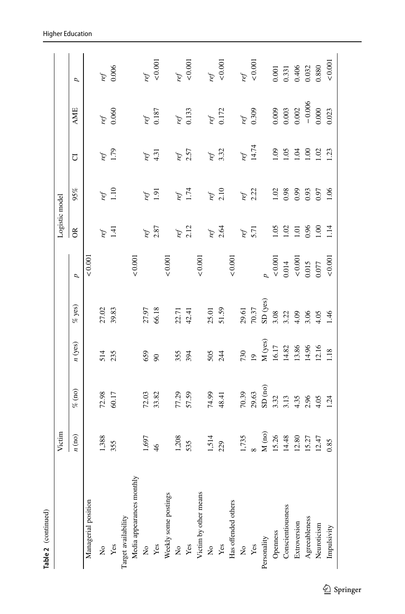| Table 2 (continued)       |               |                            |                           |                     |                       |                 |                      |                |            |                                                                             |
|---------------------------|---------------|----------------------------|---------------------------|---------------------|-----------------------|-----------------|----------------------|----------------|------------|-----------------------------------------------------------------------------|
|                           | Victim        |                            |                           |                     |                       | Logistic model  |                      |                |            |                                                                             |
|                           | n (no)        | $\%$ (no)                  | n(yes)                    | % yes)              | p                     | $\alpha$        | 95%                  | J              | <b>AME</b> | p                                                                           |
| Managerial position       |               |                            |                           |                     | &0.001                |                 |                      |                |            |                                                                             |
| $\mathsf{S}^{\mathsf{o}}$ | 1,388         |                            | 514                       |                     |                       | ref             | ref                  | ref            | ref        | ref                                                                         |
| Yes                       | 355           | $72.98$<br>60.17           | 235                       | 27.02<br>39.83      |                       | 1.41            | 1.10                 | 1.79           | 0.060      | 0.006                                                                       |
| Target availability       |               |                            |                           |                     |                       |                 |                      |                |            |                                                                             |
| Media appearances monthly |               |                            |                           |                     | 0.001                 |                 |                      |                |            |                                                                             |
| $\frac{1}{2}$             | 1,697         |                            | 659                       |                     |                       | ref             | ref                  | ref            | ref        | ref                                                                         |
| Yes                       | $\frac{4}{6}$ | $\frac{72.03}{33.82}$      | $\infty$                  | 27.97<br>66.18      |                       | 2.87            | 1.91                 | 4.31           | 0.187      | 0.001                                                                       |
| Weekly some postings      |               |                            |                           |                     | 0.001                 |                 |                      |                |            |                                                                             |
| ż                         | 1,208         | 77.29                      | 355                       |                     |                       | ref             |                      | ref            | ref        | ref                                                                         |
| Yes                       | 535           | 57.59                      | 394                       | 22.71<br>42.41      |                       | 2.12            | ref<br>1.74          | 2.57           | 0.133      | 0.001                                                                       |
| Victim by other means     |               |                            |                           |                     | 0.001                 |                 |                      |                |            |                                                                             |
| $\mathsf{S}^{\mathsf{O}}$ | 1,514         | 74.99                      | 505                       |                     |                       | ref             |                      | ref            | ref        | ref                                                                         |
| Yes                       | 229           | 48.41                      | 244                       | 25.01<br>51.59      |                       | 2.64            | ref<br>$2.10$        | 3.32           | 0.172      | $< 0.001$                                                                   |
| Has offended others       |               |                            |                           |                     | 0.001                 |                 |                      |                |            |                                                                             |
| $\frac{1}{2}$             | 1,735         | 70.39                      | 730                       | 29.61               |                       | ref             | ref                  | ref            | ref        | ref                                                                         |
| Yes                       |               | 29.63                      | $\overline{19}$           | 70.37               |                       | 5.71            | 2.22                 | 14.74          | 0.309      | 0.001                                                                       |
| Personality               | $M$ (no)      | $\mathrm{SD}$ (no)         |                           | $\mathrm{SD}$ (yes) |                       |                 |                      |                |            |                                                                             |
| Openness                  | 15.26         | 3.32<br>3.13               | M (yes)<br>16.17<br>14.82 | 3.08                | 0.001                 | $\overline{50}$ |                      | 60.1           | 0.009      |                                                                             |
| Conscientiousness         | 14.48         |                            |                           | 3.22                | 0.014                 | 1.02            | $\frac{1.02}{0.98}$  | 1.05           | 0.003      |                                                                             |
| Extroversion              | 12.80         |                            | 13.86                     | 4.09                |                       | 1.01            |                      | 1.04           | $0.002$    |                                                                             |
| Agreeableness             | 15.27         | $4.35$<br>$2.96$<br>$4.05$ | 14.96<br>12.16            | 3.06                | $\frac{0.001}{0.015}$ | 0.96            | 0.95<br>0.95<br>0.97 | $\overline{5}$ | $-0.006$   | $\begin{array}{l} 0.001 \\ 0.331 \\ 0.406 \\ 0.032 \\ 0.880 \\ \end{array}$ |
| Neuroticism               | 12.47         |                            |                           | 4.05                | 0.077                 | 1.00            |                      | 1.02           | 0.000      |                                                                             |
| Impulsivity               | 0.85          | 1.24                       | 1.18                      | 1.46                | 0.001                 | 1.14            | 1.06                 | 1.23           | 0.023      | $<\!0.001$                                                                  |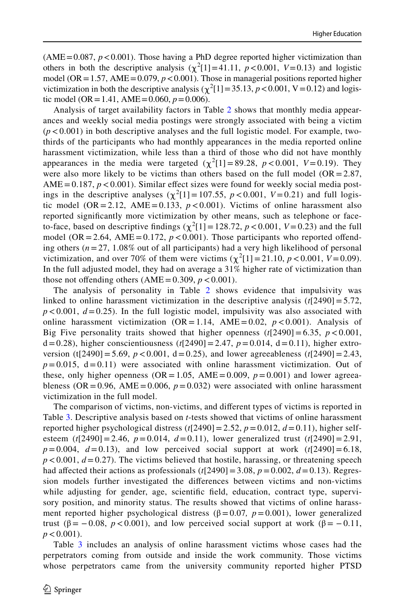$(AME = 0.087, p < 0.001)$ . Those having a PhD degree reported higher victimization than others in both the descriptive analysis  $(\chi^2[1] = 41.11, p < 0.001, V = 0.13)$  and logistic model (OR = 1.57, AME =  $0.079$ ,  $p < 0.001$ ). Those in managerial positions reported higher victimization in both the descriptive analysis ( $\chi^2$ [1] = 35.13, *p* < 0.001, V = 0.12) and logistic model (OR = 1.41, AME = 0.060,  $p = 0.006$ ).

Analysis of target availability factors in Table [2](#page-11-0) shows that monthly media appearances and weekly social media postings were strongly associated with being a victim  $(p<0.001)$  in both descriptive analyses and the full logistic model. For example, twothirds of the participants who had monthly appearances in the media reported online harassment victimization, while less than a third of those who did not have monthly appearances in the media were targeted  $(\chi^2[1] = 89.28, p < 0.001, V = 0.19)$ . They were also more likely to be victims than others based on the full model ( $OR = 2.87$ ,  $AME = 0.187, p < 0.001$ ). Similar effect sizes were found for weekly social media postings in the descriptive analyses  $(\chi^2[1] = 107.55, p < 0.001, V = 0.21)$  and full logistic model (OR=2.12, AME=0.133,  $p < 0.001$ ). Victims of online harassment also reported signifcantly more victimization by other means, such as telephone or faceto-face, based on descriptive findings  $(\chi^2[1] = 128.72, p < 0.001, V = 0.23)$  and the full model (OR = 2.64, AME = 0.172,  $p < 0.001$ ). Those participants who reported offending others  $(n=27, 1.08\%$  out of all participants) had a very high likelihood of personal victimization, and over 70% of them were victims  $(\chi^2[1] = 21.10, p < 0.001, V = 0.09)$ . In the full adjusted model, they had on average a 31% higher rate of victimization than those not offending others  $(AME = 0.309, p < 0.001)$ .

The analysis of personality in Table [2](#page-11-0) shows evidence that impulsivity was linked to online harassment victimization in the descriptive analysis  $(t[2490] = 5.72$ ,  $p < 0.001$ ,  $d = 0.25$ ). In the full logistic model, impulsivity was also associated with online harassment victimization  $(OR = 1.14, AME = 0.02, p < 0.001)$ . Analysis of Big Five personality traits showed that higher openness  $(t[2490] = 6.35, p < 0.001$ ,  $d=0.28$ ), higher conscientiousness ( $t$ [2490] = 2.47,  $p = 0.014$ ,  $d = 0.11$ ), higher extroversion (t[2490] = 5.69,  $p < 0.001$ , d = 0.25), and lower agreeableness (t[2490] = 2.43,  $p=0.015$ ,  $d=0.11$ ) were associated with online harassment victimization. Out of these, only higher openness ( $OR = 1.05$ ,  $AME = 0.009$ ,  $p = 0.001$ ) and lower agreeableness (OR = 0.96, AME = 0.006,  $p = 0.032$ ) were associated with online harassment victimization in the full model.

The comparison of victims, non-victims, and diferent types of victims is reported in Table [3](#page-14-0). Descriptive analysis based on *t*-tests showed that victims of online harassment reported higher psychological distress  $(t[2490] = 2.52, p = 0.012, d = 0.11)$ , higher selfesteem  $(t[2490] = 2.46, p = 0.014, d = 0.11)$ , lower generalized trust  $(t[2490] = 2.91$ ,  $p=0.004$ ,  $d=0.13$ ), and low perceived social support at work  $(t[2490]=6.18$ ,  $p < 0.001$ ,  $d = 0.27$ ). The victims believed that hostile, harassing, or threatening speech had affected their actions as professionals  $(t[2490]=3.08, p=0.002, d=0.13)$ . Regression models further investigated the diferences between victims and non-victims while adjusting for gender, age, scientific field, education, contract type, supervisory position, and minority status. The results showed that victims of online harassment reported higher psychological distress ( $\beta$ =0.07, *p*=0.001), lower generalized trust ( $\beta = -0.08$ ,  $p < 0.001$ ), and low perceived social support at work ( $\beta = -0.11$ ,  $p < 0.001$ ).

Table [3](#page-14-0) includes an analysis of online harassment victims whose cases had the perpetrators coming from outside and inside the work community. Those victims whose perpetrators came from the university community reported higher PTSD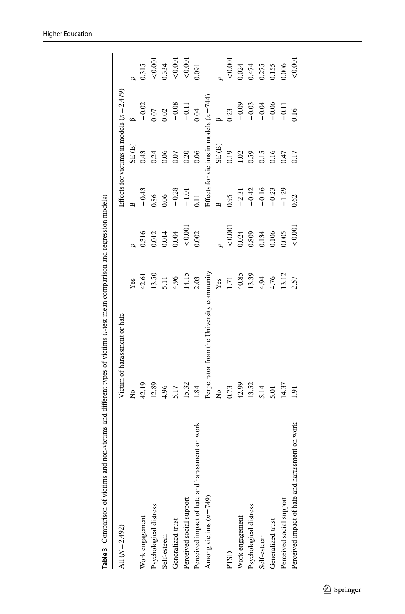<span id="page-14-0"></span>

| All $(N=2,492)$                                 | Victim of harassment or hate              |       |        |              |                                         | Effects for victims in models $(n=2,479)$ |               |
|-------------------------------------------------|-------------------------------------------|-------|--------|--------------|-----------------------------------------|-------------------------------------------|---------------|
|                                                 | ż                                         | Yes   |        | $\mathbf{r}$ | SE(B)                                   |                                           |               |
| Work engagement                                 | 42.19                                     | 42.61 | 0.316  | $-0.43$      | 0.43                                    | $-0.02$                                   | 0.315         |
| Psychological distress                          | 12.89                                     | 13.50 | 0.012  | 0.86         | 0.24                                    | 0.07                                      | ${}_{0.001}$  |
| Self-esteem                                     | 4.96                                      | 5.11  | 0.014  | 0.06         | 0.06                                    | 0.02                                      | 0.334         |
| Generalized trust                               | 5.17                                      | 4.96  | 0.004  | $-0.28$      | 0.07                                    | $-0.08$                                   | $<0.001$      |
| Perceived social support                        | 15.32                                     | 14.15 | 0.001  | $-1.01$      | 0.20                                    | $-0.11$                                   | ${}_{<0.001}$ |
| Perceived impact of hate and harassment on work | 1.84                                      | 2.03  | 0.002  | 0.11         | 0.06                                    | 0.04                                      | 0.091         |
| Among victims $(n = 749)$                       | Perpetrator from the University community |       |        |              | Effects for victims in models $(n=744)$ |                                           |               |
|                                                 | ż                                         | Yes   |        |              | SE(B)                                   |                                           |               |
| PTSD                                            | 0.73                                      | 1.71  | 0.001  | 0.95         | 0.19                                    | 0.23                                      | ${}_{0.001}$  |
| Work engagement                                 | 42.99                                     | 40.85 | 0.024  | $-2.31$      | 1.02                                    | $-0.09$                                   | 0.024         |
| Psychological distress                          | 13.52                                     | 13.39 | 0.809  | $-0.42$      | 0.59                                    | $-0.03$                                   | 0.474         |
| Self-esteem                                     | 5.14                                      | 4.94  | 0.134  | $-0.16$      | 0.15                                    | $-0.04$                                   | 0.275         |
| Generalized trust                               | 5.01                                      | 4.76  | 0.106  | $-0.23$      | 0.16                                    | $-0.06$                                   | 0.155         |
| Perceived social support                        | 14.37                                     | 13.12 | 0.005  | $-1.29$      | 0.47                                    | $-0.11$                                   | 0.006         |
| Perceived impact of hate and harassment on work | 1.91                                      | 2.57  | &0.001 | 0.62         | 0.17                                    | 0.16                                      | 0.001         |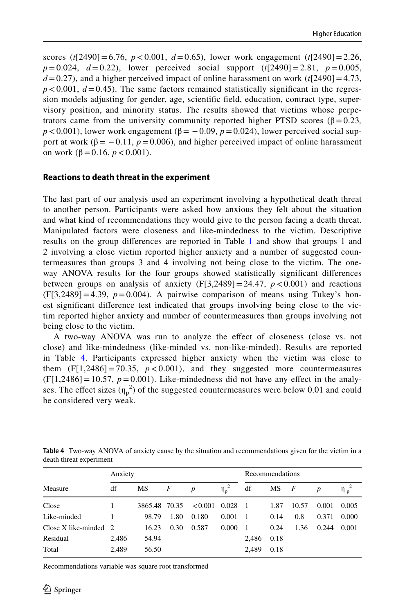scores ( $t[2490] = 6.76$ ,  $p < 0.001$ ,  $d = 0.65$ ), lower work engagement ( $t[2490] = 2.26$ , *p*=0.024, *d*=0.22), lower perceived social support (*t*[2490]=2.81, *p*=0.005,  $d = 0.27$ ), and a higher perceived impact of online harassment on work ( $t$ [2490] = 4.73,  $p < 0.001$ ,  $d = 0.45$ ). The same factors remained statistically significant in the regression models adjusting for gender, age, scientifc feld, education, contract type, supervisory position, and minority status. The results showed that victims whose perpetrators came from the university community reported higher PTSD scores (β=0.23*,*   $p < 0.001$ ), lower work engagement ( $\beta = -0.09$ ,  $p = 0.024$ ), lower perceived social support at work ( $\beta = -0.11$ ,  $p = 0.006$ ), and higher perceived impact of online harassment on work  $(\beta = 0.16, p < 0.001)$ .

#### **Reactions to death threat in the experiment**

The last part of our analysis used an experiment involving a hypothetical death threat to another person. Participants were asked how anxious they felt about the situation and what kind of recommendations they would give to the person facing a death threat. Manipulated factors were closeness and like-mindedness to the victim. Descriptive results on the group differences are reported in Table [1](#page-8-0) and show that groups 1 and 2 involving a close victim reported higher anxiety and a number of suggested countermeasures than groups 3 and 4 involving not being close to the victim. The oneway ANOVA results for the four groups showed statistically signifcant diferences between groups on analysis of anxiety  $(F[3,2489] = 24.47, p < 0.001)$  and reactions  $(F[3,2489]=4.39, p=0.004)$ . A pairwise comparison of means using Tukey's honest signifcant diference test indicated that groups involving being close to the victim reported higher anxiety and number of countermeasures than groups involving not being close to the victim.

A two-way ANOVA was run to analyze the efect of closeness (close vs. not close) and like-mindedness (like-minded vs. non-like-minded). Results are reported in Table [4.](#page-15-0) Participants expressed higher anxiety when the victim was close to them  $(F[1,2486] = 70.35, p < 0.001)$ , and they suggested more countermeasures  $(F[1,2486] = 10.57, p = 0.001)$ . Like-mindedness did not have any effect in the analyses. The effect sizes  $(\eta_p^2)$  of the suggested countermeasures were below 0.01 and could be considered very weak.

|                           | Anxiety |               |      |                  |            | Recommendations |      |                |                  |                |
|---------------------------|---------|---------------|------|------------------|------------|-----------------|------|----------------|------------------|----------------|
| Measure                   | df      | MS            | F    | $\boldsymbol{p}$ | $\eta_p^2$ | df              | MS   | $\overline{F}$ | $\boldsymbol{p}$ | $\eta_{\rm n}$ |
| Close                     |         | 3865.48 70.35 |      | < 0.001          | 0.028      | - 1             | 1.87 | 10.57          | 0.001            | 0.005          |
| Like-minded               |         | 98.79         | 1.80 | 0.180            | 0.001      | - 1             | 0.14 | 0.8            | 0.371            | 0.000          |
| Close $X$ like-minded $2$ |         | 16.23         | 0.30 | 0.587            | 0.000      | - 1             | 0.24 | 1.36           | 0.244            | 0.001          |
| Residual                  | 2,486   | 54.94         |      |                  |            | 2,486           | 0.18 |                |                  |                |
| Total                     | 2.489   | 56.50         |      |                  |            | 2,489           | 0.18 |                |                  |                |

<span id="page-15-0"></span>**Table 4** Two-way ANOVA of anxiety cause by the situation and recommendations given for the victim in a death threat experiment

Recommendations variable was square root transformed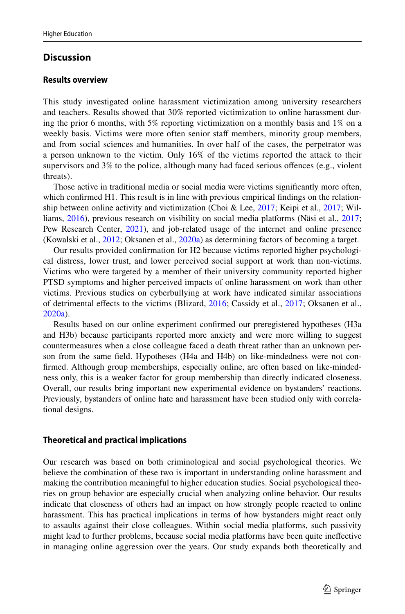# **Discussion**

#### **Results overview**

This study investigated online harassment victimization among university researchers and teachers. Results showed that 30% reported victimization to online harassment during the prior 6 months, with 5% reporting victimization on a monthly basis and 1% on a weekly basis. Victims were more often senior staff members, minority group members, and from social sciences and humanities. In over half of the cases, the perpetrator was a person unknown to the victim. Only 16% of the victims reported the attack to their supervisors and 3% to the police, although many had faced serious ofences (e.g., violent threats).

Those active in traditional media or social media were victims signifcantly more often, which confrmed H1. This result is in line with previous empirical fndings on the relation-ship between online activity and victimization (Choi & Lee, [2017](#page-21-6); Keipi et al., [2017](#page-23-0); Williams, [2016\)](#page-25-16), previous research on visibility on social media platforms (Näsi et al., [2017;](#page-24-1) Pew Research Center, [2021\)](#page-24-4), and job-related usage of the internet and online presence (Kowalski et al., [2012](#page-23-10); Oksanen et al., [2020a](#page-24-3)) as determining factors of becoming a target.

Our results provided confrmation for H2 because victims reported higher psychological distress, lower trust, and lower perceived social support at work than non-victims. Victims who were targeted by a member of their university community reported higher PTSD symptoms and higher perceived impacts of online harassment on work than other victims. Previous studies on cyberbullying at work have indicated similar associations of detrimental efects to the victims (Blizard, [2016;](#page-21-2) Cassidy et al., [2017;](#page-21-4) Oksanen et al., [2020a](#page-24-3)).

Results based on our online experiment confrmed our preregistered hypotheses (H3a and H3b) because participants reported more anxiety and were more willing to suggest countermeasures when a close colleague faced a death threat rather than an unknown person from the same feld. Hypotheses (H4a and H4b) on like-mindedness were not confrmed. Although group memberships, especially online, are often based on like-mindedness only, this is a weaker factor for group membership than directly indicated closeness. Overall, our results bring important new experimental evidence on bystanders' reactions. Previously, bystanders of online hate and harassment have been studied only with correlational designs.

## **Theoretical and practical implications**

Our research was based on both criminological and social psychological theories. We believe the combination of these two is important in understanding online harassment and making the contribution meaningful to higher education studies. Social psychological theories on group behavior are especially crucial when analyzing online behavior. Our results indicate that closeness of others had an impact on how strongly people reacted to online harassment. This has practical implications in terms of how bystanders might react only to assaults against their close colleagues. Within social media platforms, such passivity might lead to further problems, because social media platforms have been quite inefective in managing online aggression over the years. Our study expands both theoretically and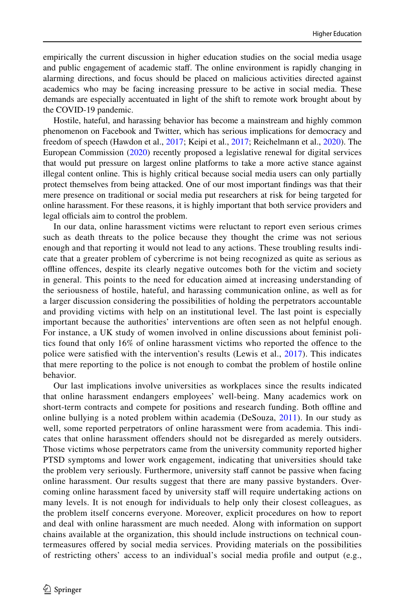empirically the current discussion in higher education studies on the social media usage and public engagement of academic staf. The online environment is rapidly changing in alarming directions, and focus should be placed on malicious activities directed against academics who may be facing increasing pressure to be active in social media. These demands are especially accentuated in light of the shift to remote work brought about by the COVID-19 pandemic.

Hostile, hateful, and harassing behavior has become a mainstream and highly common phenomenon on Facebook and Twitter, which has serious implications for democracy and freedom of speech (Hawdon et al., [2017](#page-23-1); Keipi et al., [2017](#page-23-0); Reichelmann et al., [2020\)](#page-24-0). The European Commission ([2020\)](#page-22-21) recently proposed a legislative renewal for digital services that would put pressure on largest online platforms to take a more active stance against illegal content online. This is highly critical because social media users can only partially protect themselves from being attacked. One of our most important fndings was that their mere presence on traditional or social media put researchers at risk for being targeted for online harassment. For these reasons, it is highly important that both service providers and legal officials aim to control the problem.

In our data, online harassment victims were reluctant to report even serious crimes such as death threats to the police because they thought the crime was not serious enough and that reporting it would not lead to any actions. These troubling results indicate that a greater problem of cybercrime is not being recognized as quite as serious as ofine ofences, despite its clearly negative outcomes both for the victim and society in general. This points to the need for education aimed at increasing understanding of the seriousness of hostile, hateful, and harassing communication online, as well as for a larger discussion considering the possibilities of holding the perpetrators accountable and providing victims with help on an institutional level. The last point is especially important because the authorities' interventions are often seen as not helpful enough. For instance, a UK study of women involved in online discussions about feminist politics found that only 16% of online harassment victims who reported the ofence to the police were satisfed with the intervention's results (Lewis et al., [2017](#page-24-20)). This indicates that mere reporting to the police is not enough to combat the problem of hostile online behavior.

Our last implications involve universities as workplaces since the results indicated that online harassment endangers employees' well-being. Many academics work on short-term contracts and compete for positions and research funding. Both ofine and online bullying is a noted problem within academia (DeSouza, [2011\)](#page-22-4). In our study as well, some reported perpetrators of online harassment were from academia. This indicates that online harassment ofenders should not be disregarded as merely outsiders. Those victims whose perpetrators came from the university community reported higher PTSD symptoms and lower work engagement, indicating that universities should take the problem very seriously. Furthermore, university staf cannot be passive when facing online harassment. Our results suggest that there are many passive bystanders. Overcoming online harassment faced by university staf will require undertaking actions on many levels. It is not enough for individuals to help only their closest colleagues, as the problem itself concerns everyone. Moreover, explicit procedures on how to report and deal with online harassment are much needed. Along with information on support chains available at the organization, this should include instructions on technical countermeasures ofered by social media services. Providing materials on the possibilities of restricting others' access to an individual's social media profle and output (e.g.,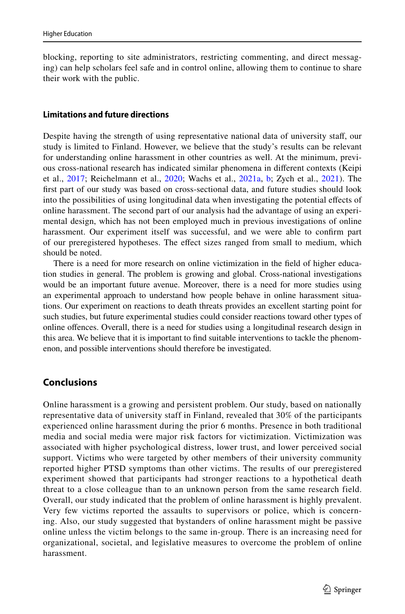blocking, reporting to site administrators, restricting commenting, and direct messaging) can help scholars feel safe and in control online, allowing them to continue to share their work with the public.

## **Limitations and future directions**

Despite having the strength of using representative national data of university staf, our study is limited to Finland. However, we believe that the study's results can be relevant for understanding online harassment in other countries as well. At the minimum, previous cross-national research has indicated similar phenomena in diferent contexts (Keipi et al., [2017](#page-23-0); Reichelmann et al., [2020](#page-24-0); Wachs et al., [2021a](#page-25-2), [b;](#page-25-3) Zych et al., [2021](#page-26-2)). The frst part of our study was based on cross-sectional data, and future studies should look into the possibilities of using longitudinal data when investigating the potential efects of online harassment. The second part of our analysis had the advantage of using an experimental design, which has not been employed much in previous investigations of online harassment. Our experiment itself was successful, and we were able to confrm part of our preregistered hypotheses. The efect sizes ranged from small to medium, which should be noted.

There is a need for more research on online victimization in the feld of higher education studies in general. The problem is growing and global. Cross-national investigations would be an important future avenue. Moreover, there is a need for more studies using an experimental approach to understand how people behave in online harassment situations. Our experiment on reactions to death threats provides an excellent starting point for such studies, but future experimental studies could consider reactions toward other types of online ofences. Overall, there is a need for studies using a longitudinal research design in this area. We believe that it is important to fnd suitable interventions to tackle the phenomenon, and possible interventions should therefore be investigated.

# **Conclusions**

Online harassment is a growing and persistent problem. Our study, based on nationally representative data of university staff in Finland, revealed that 30% of the participants experienced online harassment during the prior 6 months. Presence in both traditional media and social media were major risk factors for victimization. Victimization was associated with higher psychological distress, lower trust, and lower perceived social support. Victims who were targeted by other members of their university community reported higher PTSD symptoms than other victims. The results of our preregistered experiment showed that participants had stronger reactions to a hypothetical death threat to a close colleague than to an unknown person from the same research field. Overall, our study indicated that the problem of online harassment is highly prevalent. Very few victims reported the assaults to supervisors or police, which is concerning. Also, our study suggested that bystanders of online harassment might be passive online unless the victim belongs to the same in-group. There is an increasing need for organizational, societal, and legislative measures to overcome the problem of online harassment.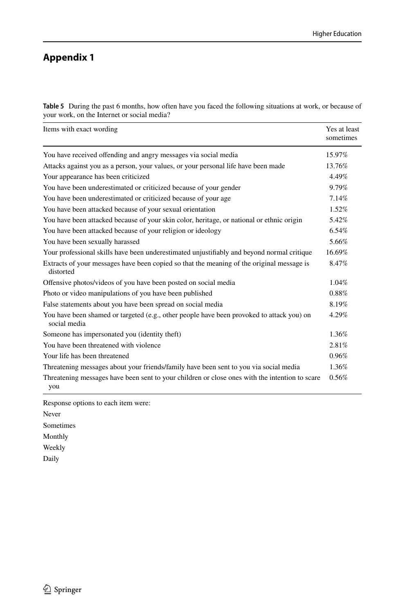# **Appendix 1**

<span id="page-19-0"></span>**Table 5** During the past 6 months, how often have you faced the following situations at work, or because of your work, on the Internet or social media?

| Items with exact wording                                                                                  | Yes at least<br>sometimes |
|-----------------------------------------------------------------------------------------------------------|---------------------------|
| You have received offending and angry messages via social media                                           | 15.97%                    |
| Attacks against you as a person, your values, or your personal life have been made                        | 13.76%                    |
| Your appearance has been criticized                                                                       | 4.49%                     |
| You have been underestimated or criticized because of your gender                                         | 9.79%                     |
| You have been underestimated or criticized because of your age                                            | 7.14%                     |
| You have been attacked because of your sexual orientation                                                 | 1.52%                     |
| You have been attacked because of your skin color, heritage, or national or ethnic origin                 | 5.42%                     |
| You have been attacked because of your religion or ideology                                               | 6.54%                     |
| You have been sexually harassed                                                                           | 5.66%                     |
| Your professional skills have been underestimated unjustifiably and beyond normal critique                | 16.69%                    |
| Extracts of your messages have been copied so that the meaning of the original message is<br>distorted    | 8.47%                     |
| Offensive photos/videos of you have been posted on social media                                           | 1.04%                     |
| Photo or video manipulations of you have been published                                                   | 0.88%                     |
| False statements about you have been spread on social media                                               | 8.19%                     |
| You have been shamed or targeted (e.g., other people have been provoked to attack you) on<br>social media | 4.29%                     |
| Someone has impersonated you (identity theft)                                                             | 1.36%                     |
| You have been threatened with violence                                                                    | 2.81%                     |
| Your life has been threatened                                                                             | 0.96%                     |
| Threatening messages about your friends/family have been sent to you via social media                     | 1.36%                     |
| Threatening messages have been sent to your children or close ones with the intention to scare<br>you     | 0.56%                     |

Response options to each item were:

Never

Sometimes

Monthly

Weekly

Daily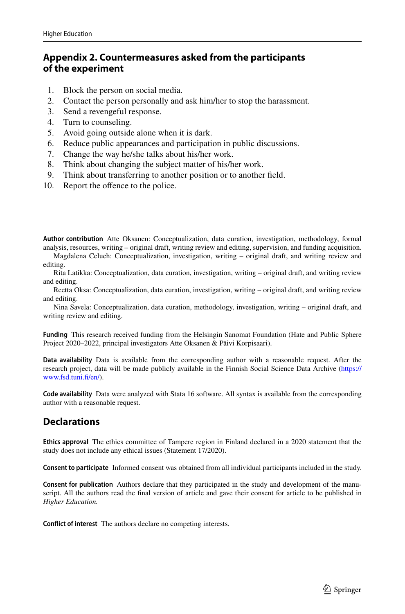# <span id="page-20-0"></span>**Appendix 2. Countermeasures asked from the participants of the experiment**

- 1. Block the person on social media.<br>2. Contact the person personally and
- 2. Contact the person personally and ask him/her to stop the harassment.
- 3. Send a revengeful response.
- 4. Turn to counseling.
- 5. Avoid going outside alone when it is dark.<br>6. Reduce public appearances and participation
- Reduce public appearances and participation in public discussions.
- 7. Change the way he/she talks about his/her work.
- 8. Think about changing the subject matter of his/her work.<br>9. Think about transferring to another position or to another
- Think about transferring to another position or to another field.
- 10. Report the offence to the police.

**Author contribution** Atte Oksanen: Conceptualization, data curation, investigation, methodology, formal analysis, resources, writing – original draft, writing review and editing, supervision, and funding acquisition.

Magdalena Celuch: Conceptualization, investigation, writing – original draft, and writing review and editing.

Rita Latikka: Conceptualization, data curation, investigation, writing – original draft, and writing review and editing.

Reetta Oksa: Conceptualization, data curation, investigation, writing – original draft, and writing review and editing.

Nina Savela: Conceptualization, data curation, methodology, investigation, writing – original draft, and writing review and editing.

**Funding** This research received funding from the Helsingin Sanomat Foundation (Hate and Public Sphere Project 2020–2022, principal investigators Atte Oksanen & Päivi Korpisaari).

**Data availability** Data is available from the corresponding author with a reasonable request. After the research project, data will be made publicly available in the Finnish Social Science Data Archive [\(https://](https://www.fsd.tuni.fi/en/) [www.fsd.tuni.f/en/](https://www.fsd.tuni.fi/en/)).

**Code availability** Data were analyzed with Stata 16 software. All syntax is available from the corresponding author with a reasonable request.

# **Declarations**

**Ethics approval** The ethics committee of Tampere region in Finland declared in a 2020 statement that the study does not include any ethical issues (Statement 17/2020).

**Consent to participate** Informed consent was obtained from all individual participants included in the study.

**Consent for publication** Authors declare that they participated in the study and development of the manuscript. All the authors read the final version of article and gave their consent for article to be published in *Higher Education.*

**Confict of interest** The authors declare no competing interests.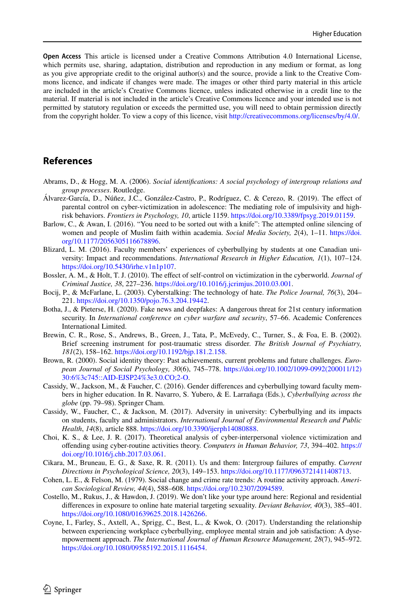**Open Access** This article is licensed under a Creative Commons Attribution 4.0 International License, which permits use, sharing, adaptation, distribution and reproduction in any medium or format, as long as you give appropriate credit to the original author(s) and the source, provide a link to the Creative Commons licence, and indicate if changes were made. The images or other third party material in this article are included in the article's Creative Commons licence, unless indicated otherwise in a credit line to the material. If material is not included in the article's Creative Commons licence and your intended use is not permitted by statutory regulation or exceeds the permitted use, you will need to obtain permission directly from the copyright holder. To view a copy of this licence, visit [http://creativecommons.org/licenses/by/4.0/.](http://creativecommons.org/licenses/by/4.0/)

# **References**

- <span id="page-21-12"></span>Abrams, D., & Hogg, M. A. (2006). *Social identifcations: A social psychology of intergroup relations and group processes*. Routledge.
- <span id="page-21-9"></span>Álvarez-García, D., Núñez, J.C., González-Castro, P., Rodríguez, C. & Cerezo, R. (2019). The efect of parental control on cyber-victimization in adolescence: The mediating role of impulsivity and highrisk behaviors. *Frontiers in Psychology, 10*, article 1159. [https://doi.org/10.3389/fpsyg.2019.01159.](https://doi.org/10.3389/fpsyg.2019.01159)
- <span id="page-21-8"></span>Barlow, C., & Awan, I. (2016). "You need to be sorted out with a knife": The attempted online silencing of women and people of Muslim faith within academia. *Social Media Society, 2*(4), 1–11. [https://doi.](https://doi.org/10.1177/2056305116678896) [org/10.1177/2056305116678896](https://doi.org/10.1177/2056305116678896).
- <span id="page-21-2"></span>Blizard, L. M. (2016). Faculty members' experiences of cyberbullying by students at one Canadian university: Impact and recommendations. *International Research in Higher Education, 1*(1), 107–124. <https://doi.org/10.5430/irhe.v1n1p107>.
- <span id="page-21-10"></span>Bossler, A. M., & Holt, T. J. (2010). The efect of self-control on victimization in the cyberworld. *Journal of Criminal Justice, 38*, 227–236.<https://doi.org/10.1016/j.jcrimjus.2010.03.001>.
- <span id="page-21-0"></span>Bocij, P., & McFarlane, L. (2003). Cyberstalking: The technology of hate. *The Police Journal, 76*(3), 204– 221. [https://doi.org/10.1350/pojo.76.3.204.19442.](https://doi.org/10.1350/pojo.76.3.204.19442)
- <span id="page-21-1"></span>Botha, J., & Pieterse, H. (2020). Fake news and deepfakes: A dangerous threat for 21st century information security. In *International conference on cyber warfare and security*, 57–66. Academic Conferences International Limited.
- <span id="page-21-15"></span>Brewin, C. R., Rose, S., Andrews, B., Green, J., Tata, P., McEvedy, C., Turner, S., & Foa, E. B. (2002). Brief screening instrument for post-traumatic stress disorder. *The British Journal of Psychiatry, 181*(2), 158–162. <https://doi.org/10.1192/bjp.181.2.158>.
- <span id="page-21-13"></span>Brown, R. (2000). Social identity theory: Past achievements, current problems and future challenges. *European Journal of Social Psychology, 30*(6), 745–778. [https://doi.org/10.1002/1099-0992\(200011/12\)](https://doi.org/10.1002/1099-0992(200011/12)30:6%3c745::AID-EJSP24%3e3.0.CO;2-O) [30:6%3c745::AID-EJSP24%3e3.0.CO;2-O](https://doi.org/10.1002/1099-0992(200011/12)30:6%3c745::AID-EJSP24%3e3.0.CO;2-O).
- <span id="page-21-3"></span>Cassidy, W., Jackson, M., & Faucher, C. (2016). Gender diferences and cyberbullying toward faculty members in higher education. In R. Navarro, S. Yubero, & E. Larrañaga (Eds.), *Cyberbullying across the globe* (pp. 79–98). Springer Cham.
- <span id="page-21-4"></span>Cassidy, W., Faucher, C., & Jackson, M. (2017). Adversity in university: Cyberbullying and its impacts on students, faculty and administrators. *International Journal of Environmental Research and Public Health*, *14*(8), article 888. [https://doi.org/10.3390/ijerph14080888.](https://doi.org/10.3390/ijerph14080888)
- <span id="page-21-6"></span>Choi, K. S., & Lee, J. R. (2017). Theoretical analysis of cyber-interpersonal violence victimization and ofending using cyber-routine activities theory. *Computers in Human Behavior, 73*, 394–402. [https://](https://doi.org/10.1016/j.chb.2017.03.061) [doi.org/10.1016/j.chb.2017.03.061](https://doi.org/10.1016/j.chb.2017.03.061).
- <span id="page-21-14"></span>Cikara, M., Bruneau, E. G., & Saxe, R. R. (2011). Us and them: Intergroup failures of empathy. *Current Directions in Psychological Science, 20*(3), 149–153. <https://doi.org/10.1177/0963721411408713>.
- <span id="page-21-5"></span>Cohen, L. E., & Felson, M. (1979). Social change and crime rate trends: A routine activity approach. *American Sociological Review, 44*(4), 588–608. <https://doi.org/10.2307/2094589>.
- <span id="page-21-7"></span>Costello, M., Rukus, J., & Hawdon, J. (2019). We don't like your type around here: Regional and residential diferences in exposure to online hate material targeting sexuality. *Deviant Behavior, 40*(3), 385–401. [https://doi.org/10.1080/01639625.2018.1426266.](https://doi.org/10.1080/01639625.2018.1426266)
- <span id="page-21-11"></span>Coyne, I., Farley, S., Axtell, A., Sprigg, C., Best, L., & Kwok, O. (2017). Understanding the relationship between experiencing workplace cyberbullying, employee mental strain and job satisfaction: A dysempowerment approach. *The International Journal of Human Resource Management, 28*(7), 945–972. [https://doi.org/10.1080/09585192.2015.1116454.](https://doi.org/10.1080/09585192.2015.1116454)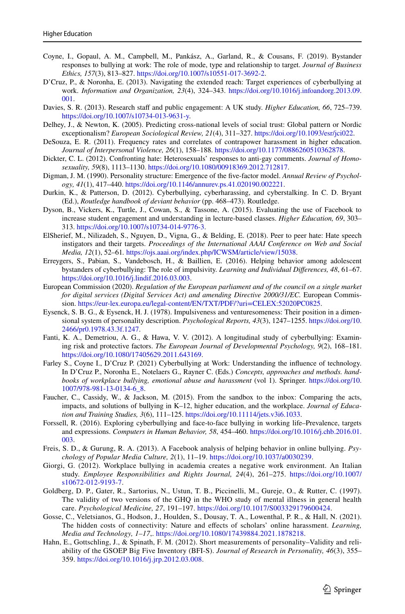- <span id="page-22-15"></span>Coyne, I., Gopaul, A. M., Campbell, M., Pankász, A., Garland, R., & Cousans, F. (2019). Bystander responses to bullying at work: The role of mode, type and relationship to target. *Journal of Business Ethics, 157*(3), 813–827. <https://doi.org/10.1007/s10551-017-3692-2>.
- <span id="page-22-12"></span>D'Cruz, P., & Noronha, E. (2013). Navigating the extended reach: Target experiences of cyberbullying at work. *Information and Organization, 23*(4), 324–343. [https://doi.org/10.1016/j.infoandorg.2013.09.](https://doi.org/10.1016/j.infoandorg.2013.09.001) [001](https://doi.org/10.1016/j.infoandorg.2013.09.001).
- <span id="page-22-6"></span>Davies, S. R. (2013). Research staf and public engagement: A UK study. *Higher Education, 66*, 725–739. <https://doi.org/10.1007/s10734-013-9631-y>.
- <span id="page-22-20"></span>Delhey, J., & Newton, K. (2005). Predicting cross-national levels of social trust: Global pattern or Nordic exceptionalism? *European Sociological Review, 21*(4), 311–327.<https://doi.org/10.1093/esr/jci022>.
- <span id="page-22-4"></span>DeSouza, E. R. (2011). Frequency rates and correlates of contrapower harassment in higher education. *Journal of Interpersonal Violence, 26*(1), 158–188. [https://doi.org/10.1177/0886260510362878.](https://doi.org/10.1177/0886260510362878)
- <span id="page-22-13"></span>Dickter, C. L. (2012). Confronting hate: Heterosexuals' responses to anti-gay comments. *Journal of Homosexuality, 59*(8), 1113–1130. <https://doi.org/10.1080/00918369.2012.712817>.
- <span id="page-22-8"></span>Digman, J. M. (1990). Personality structure: Emergence of the fve-factor model. *Annual Review of Psychology, 41*(1), 417–440. [https://doi.org/10.1146/annurev.ps.41.020190.002221.](https://doi.org/10.1146/annurev.ps.41.020190.002221)
- <span id="page-22-1"></span>Durkin, K., & Patterson, D. (2012). Cyberbullying, cyberharassing, and cyberstalking. In C. D. Bryant (Ed.), *Routledge handbook of deviant behavior* (pp. 468–473). Routledge.
- <span id="page-22-7"></span>Dyson, B., Vickers, K., Turtle, J., Cowan, S., & Tassone, A. (2015). Evaluating the use of Facebook to increase student engagement and understanding in lecture-based classes. *Higher Education, 69*, 303– 313. [https://doi.org/10.1007/s10734-014-9776-3.](https://doi.org/10.1007/s10734-014-9776-3)
- <span id="page-22-9"></span>ElSherief, M., Nilizadeh, S., Nguyen, D., Vigna, G., & Belding, E. (2018). Peer to peer hate: Hate speech instigators and their targets. *Proceedings of the International AAAI Conference on Web and Social Media, 12*(1), 52–61*.* <https://ojs.aaai.org/index.php/ICWSM/article/view/15038>.
- <span id="page-22-11"></span>Erreygers, S., Pabian, S., Vandebosch, H., & Baillien, E. (2016). Helping behavior among adolescent bystanders of cyberbullying: The role of impulsivity. *Learning and Individual Diferences, 48*, 61–67. <https://doi.org/10.1016/j.lindif.2016.03.003>.
- <span id="page-22-21"></span>European Commission (2020). *Regulation of the European parliament and of the council on a single market for digital services (Digital Services Act) and amending Directive 2000/31/EC.* European Commission. [https://eur-lex.europa.eu/legal-content/EN/TXT/PDF/?uri=CELEX:52020PC0825.](https://eur-lex.europa.eu/legal-content/EN/TXT/PDF/?uri=CELEX:52020PC0825)
- <span id="page-22-18"></span>Eysenck, S. B. G., & Eysenck, H. J. (1978). Impulsiveness and venturesomeness: Their position in a dimensional system of personality description. *Psychological Reports, 43*(3), 1247–1255. [https://doi.org/10.](https://doi.org/10.2466/pr0.1978.43.3f.1247) [2466/pr0.1978.43.3f.1247.](https://doi.org/10.2466/pr0.1978.43.3f.1247)
- <span id="page-22-10"></span>Fanti, K. A., Demetriou, A. G., & Hawa, V. V. (2012). A longitudinal study of cyberbullying: Examining risk and protective factors. *The European Journal of Developmental Psychology, 9*(2), 168–181. [https://doi.org/10.1080/17405629.2011.643169.](https://doi.org/10.1080/17405629.2011.643169)
- <span id="page-22-0"></span>Farley S., Coyne I., D'Cruz P. (2021) Cyberbullying at Work: Understanding the infuence of technology. In D'Cruz P., Noronha E., Notelaers G., Rayner C. (Eds.) *Concepts, approaches and methods. handbooks of workplace bullying, emotional abuse and harassment* (vol 1). Springer. [https://doi.org/10.](https://doi.org/10.1007/978-981-13-0134-6_8) [1007/978-981-13-0134-6\\_8](https://doi.org/10.1007/978-981-13-0134-6_8).
- <span id="page-22-2"></span>Faucher, C., Cassidy, W., & Jackson, M. (2015). From the sandbox to the inbox: Comparing the acts, impacts, and solutions of bullying in K–12, higher education, and the workplace. *Journal of Education and Training Studies, 3*(6), 111–125.<https://doi.org/10.11114/jets.v3i6.1033>.
- <span id="page-22-16"></span>Forssell, R. (2016). Exploring cyberbullying and face-to-face bullying in working life–Prevalence, targets and expressions. *Computers in Human Behavior, 58*, 454–460. [https://doi.org/10.1016/j.chb.2016.01.](https://doi.org/10.1016/j.chb.2016.01.003) [003](https://doi.org/10.1016/j.chb.2016.01.003).
- <span id="page-22-14"></span>Freis, S. D., & Gurung, R. A. (2013). A Facebook analysis of helping behavior in online bullying. *Psychology of Popular Media Culture, 2*(1), 11–19. <https://doi.org/10.1037/a0030239>.
- <span id="page-22-5"></span>Giorgi, G. (2012). Workplace bullying in academia creates a negative work environment. An Italian study. *Employee Responsibilities and Rights Journal, 24*(4), 261–275. [https://doi.org/10.1007/](https://doi.org/10.1007/s10672-012-9193-7) [s10672-012-9193-7](https://doi.org/10.1007/s10672-012-9193-7).
- <span id="page-22-19"></span>Goldberg, D. P., Gater, R., Sartorius, N., Ustun, T. B., Piccinelli, M., Gureje, O., & Rutter, C. (1997). The validity of two versions of the GHQ in the WHO study of mental illness in general health care. *Psychological Medicine, 27*, 191–197. [https://doi.org/10.1017/S003329179600424.](https://doi.org/10.1017/S003329179600424)
- <span id="page-22-3"></span>Gosse, C., Veletsianos, G., Hodson, J., Houlden, S., Dousay, T. A., Lowenthal, P. R., & Hall, N. (2021). The hidden costs of connectivity: Nature and efects of scholars' online harassment. *Learning, Media and Technology, 1–17*,. [https://doi.org/10.1080/17439884.2021.1878218.](https://doi.org/10.1080/17439884.2021.1878218)
- <span id="page-22-17"></span>Hahn, E., Gottschling, J., & Spinath, F. M. (2012). Short measurements of personality–Validity and reliability of the GSOEP Big Five Inventory (BFI-S). *Journal of Research in Personality, 46*(3), 355– 359. <https://doi.org/10.1016/j.jrp.2012.03.008>.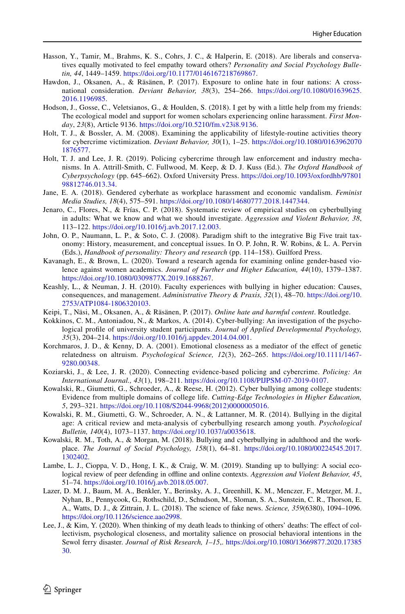- <span id="page-23-19"></span>Hasson, Y., Tamir, M., Brahms, K. S., Cohrs, J. C., & Halperin, E. (2018). Are liberals and conservatives equally motivated to feel empathy toward others? *Personality and Social Psychology Bulletin, 44*, 1449–1459. [https://doi.org/10.1177/0146167218769867.](https://doi.org/10.1177/0146167218769867)
- <span id="page-23-1"></span>Hawdon, J., Oksanen, A., & Räsänen, P. (2017). Exposure to online hate in four nations: A crossnational consideration. *Deviant Behavior, 38*(3), 254–266. [https://doi.org/10.1080/01639625.](https://doi.org/10.1080/01639625.2016.1196985) [2016.1196985.](https://doi.org/10.1080/01639625.2016.1196985)
- <span id="page-23-6"></span>Hodson, J., Gosse, C., Veletsianos, G., & Houlden, S. (2018). I get by with a little help from my friends: The ecological model and support for women scholars experiencing online harassment. *First Monday*, *23*(8), Article 9136.<https://doi.org/10.5210/fm.v23i8.9136>.
- <span id="page-23-9"></span>Holt, T. J., & Bossler, A. M. (2008). Examining the applicability of lifestyle-routine activities theory for cybercrime victimization. *Deviant Behavior, 30*(1), 1–25. [https://doi.org/10.1080/0163962070](https://doi.org/10.1080/01639620701876577) [1876577](https://doi.org/10.1080/01639620701876577).
- <span id="page-23-14"></span>Holt, T. J. and Lee, J. R. (2019). Policing cybercrime through law enforcement and industry mechanisms. In A. Attrill-Smith, C. Fullwood, M. Keep, & D. J. Kuss (Ed.). *The Oxford Handbook of Cyberpsychology* (pp. 645–662). Oxford University Press. [https://doi.org/10.1093/oxfordhb/97801](https://doi.org/10.1093/oxfordhb/9780198812746.013.34) [98812746.013.34.](https://doi.org/10.1093/oxfordhb/9780198812746.013.34)
- <span id="page-23-7"></span>Jane, E. A. (2018). Gendered cyberhate as workplace harassment and economic vandalism. *Feminist Media Studies, 18*(4), 575–591. <https://doi.org/10.1080/14680777.2018.1447344>.
- <span id="page-23-5"></span>Jenaro, C., Flores, N., & Frías, C. P. (2018). Systematic review of empirical studies on cyberbullying in adults: What we know and what we should investigate. *Aggression and Violent Behavior, 38*, 113–122. [https://doi.org/10.1016/j.avb.2017.12.003.](https://doi.org/10.1016/j.avb.2017.12.003)
- <span id="page-23-12"></span>John, O. P., Naumann, L. P., & Soto, C. J. (2008). Paradigm shift to the integrative Big Five trait taxonomy: History, measurement, and conceptual issues. In O. P. John, R. W. Robins, & L. A. Pervin (Eds.), *Handbook of personality: Theory and research* (pp. 114–158). Guilford Press.
- <span id="page-23-11"></span>Kavanagh, E., & Brown, L. (2020). Toward a research agenda for examining online gender-based violence against women academics. *Journal of Further and Higher Education, 44*(10), 1379–1387. [https://doi.org/10.1080/0309877X.2019.1688267.](https://doi.org/10.1080/0309877X.2019.1688267)
- <span id="page-23-8"></span>Keashly, L., & Neuman, J. H. (2010). Faculty experiences with bullying in higher education: Causes, consequences, and management. *Administrative Theory & Praxis, 32*(1), 48–70. [https://doi.org/10.](https://doi.org/10.2753/ATP1084-1806320103) [2753/ATP1084-1806320103](https://doi.org/10.2753/ATP1084-1806320103).
- <span id="page-23-0"></span>Keipi, T., Näsi, M., Oksanen, A., & Räsänen, P. (2017). *Online hate and harmful content*. Routledge.
- <span id="page-23-13"></span>Kokkinos, C. M., Antoniadou, N., & Markos, A. (2014). Cyber-bullying: An investigation of the psychological profle of university student participants. *Journal of Applied Developmental Psychology, 35*(3), 204–214.<https://doi.org/10.1016/j.appdev.2014.04.001>.
- <span id="page-23-16"></span>Korchmaros, J. D., & Kenny, D. A. (2001). Emotional closeness as a mediator of the efect of genetic relatedness on altruism. *Psychological Science, 12*(3), 262–265. [https://doi.org/10.1111/1467-](https://doi.org/10.1111/1467-9280.00348) [9280.00348](https://doi.org/10.1111/1467-9280.00348).
- <span id="page-23-15"></span>Koziarski, J., & Lee, J. R. (2020). Connecting evidence-based policing and cybercrime. *Policing: An International Journal., 43*(1), 198–211. [https://doi.org/10.1108/PIJPSM-07-2019-0107.](https://doi.org/10.1108/PIJPSM-07-2019-0107)
- <span id="page-23-10"></span>Kowalski, R., Giumetti, G., Schroeder, A., & Reese, H. (2012). Cyber bullying among college students: Evidence from multiple domains of college life. *Cutting-Edge Technologies in Higher Education, 5*, 293–321. [https://doi.org/10.1108/S2044-9968\(2012\)0000005016](https://doi.org/10.1108/S2044-9968(2012)0000005016).
- <span id="page-23-4"></span>Kowalski, R. M., Giumetti, G. W., Schroeder, A. N., & Lattanner, M. R. (2014). Bullying in the digital age: A critical review and meta-analysis of cyberbullying research among youth. *Psychological Bulletin, 140*(4), 1073–1137. [https://doi.org/10.1037/a0035618.](https://doi.org/10.1037/a0035618)
- <span id="page-23-2"></span>Kowalski, R. M., Toth, A., & Morgan, M. (2018). Bullying and cyberbullying in adulthood and the workplace. *The Journal of Social Psychology, 158*(1), 64–81. [https://doi.org/10.1080/00224545.2017.](https://doi.org/10.1080/00224545.2017.1302402) [1302402](https://doi.org/10.1080/00224545.2017.1302402).
- <span id="page-23-18"></span>Lambe, L. J., Cioppa, V. D., Hong, I. K., & Craig, W. M. (2019). Standing up to bullying: A social ecological review of peer defending in ofine and online contexts. *Aggression and Violent Behavior, 45*, 51–74.<https://doi.org/10.1016/j.avb.2018.05.007>.
- <span id="page-23-3"></span>Lazer, D. M. J., Baum, M. A., Benkler, Y., Berinsky, A. J., Greenhill, K. M., Menczer, F., Metzger, M. J., Nyhan, B., Pennycook, G., Rothschild, D., Schudson, M., Sloman, S. A., Sunstein, C. R., Thorson, E. A., Watts, D. J., & Zittrain, J. L. (2018). The science of fake news. *Science, 359*(6380), 1094–1096. <https://doi.org/10.1126/science.aao2998>.
- <span id="page-23-17"></span>Lee, J., & Kim, Y. (2020). When thinking of my death leads to thinking of others' deaths: The effect of collectivism, psychological closeness, and mortality salience on prosocial behavioral intentions in the Sewol ferry disaster. *Journal of Risk Research, 1–15*,. [https://doi.org/10.1080/13669877.2020.17385](https://doi.org/10.1080/13669877.2020.1738530) [30](https://doi.org/10.1080/13669877.2020.1738530).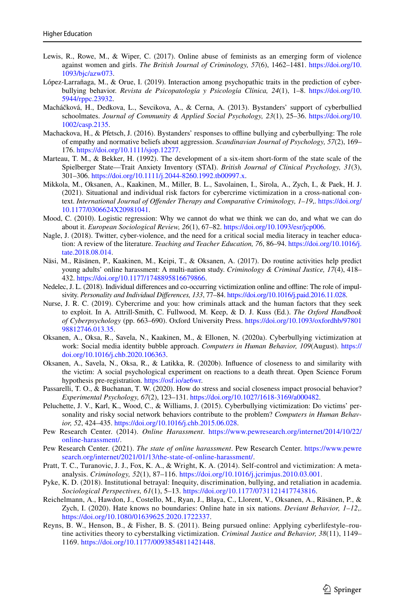- <span id="page-24-20"></span>Lewis, R., Rowe, M., & Wiper, C. (2017). Online abuse of feminists as an emerging form of violence against women and girls. *The British Journal of Criminology, 57*(6), 1462–1481. [https://doi.org/10.](https://doi.org/10.1093/bjc/azw073) [1093/bjc/azw073](https://doi.org/10.1093/bjc/azw073).
- <span id="page-24-11"></span>López-Larrañaga, M., & Orue, I. (2019). Interaction among psychopathic traits in the prediction of cyberbullying behavior. *Revista de Psicopatología y Psicología Clínica, 24*(1), 1–8. [https://doi.org/10.](https://doi.org/10.5944/rppc.23932) [5944/rppc.23932.](https://doi.org/10.5944/rppc.23932)
- <span id="page-24-14"></span>Macháčková, H., Dedkova, L., Sevcikova, A., & Cerna, A. (2013). Bystanders' support of cyberbullied schoolmates. *Journal of Community & Applied Social Psychology, 23*(1), 25–36. [https://doi.org/10.](https://doi.org/10.1002/casp.2135) [1002/casp.2135.](https://doi.org/10.1002/casp.2135)
- <span id="page-24-16"></span>Machackova, H., & Pfetsch, J. (2016). Bystanders' responses to offline bullying and cyberbullying: The role of empathy and normative beliefs about aggression. *Scandinavian Journal of Psychology, 57*(2), 169– 176.<https://doi.org/10.1111/sjop.12277>.
- <span id="page-24-18"></span>Marteau, T. M., & Bekker, H. (1992). The development of a six-item short-form of the state scale of the Spielberger State—Trait Anxiety Inventory (STAI). *British Journal of Clinical Psychology, 31*(3), 301–306. [https://doi.org/10.1111/j.2044-8260.1992.tb00997.x.](https://doi.org/10.1111/j.2044-8260.1992.tb00997.x)
- <span id="page-24-8"></span>Mikkola, M., Oksanen, A., Kaakinen, M., Miller, B. L., Savolainen, I., Sirola, A., Zych, I., & Paek, H. J. (2021). Situational and individual risk factors for cybercrime victimization in a cross-national context. *International Journal of Ofender Therapy and Comparative Criminology, 1–19*,. [https://doi.org/](https://doi.org/10.1177/0306624X20981041) [10.1177/0306624X20981041](https://doi.org/10.1177/0306624X20981041).
- <span id="page-24-19"></span>Mood, C. (2010). Logistic regression: Why we cannot do what we think we can do, and what we can do about it. *European Sociological Review, 26*(1), 67–82. [https://doi.org/10.1093/esr/jcp006.](https://doi.org/10.1093/esr/jcp006)
- <span id="page-24-9"></span>Nagle, J. (2018). Twitter, cyber-violence, and the need for a critical social media literacy in teacher education: A review of the literature. *Teaching and Teacher Education, 76*, 86–94. [https://doi.org/10.1016/j.](https://doi.org/10.1016/j.tate.2018.08.014) [tate.2018.08.014.](https://doi.org/10.1016/j.tate.2018.08.014)
- <span id="page-24-1"></span>Näsi, M., Räsänen, P., Kaakinen, M., Keipi, T., & Oksanen, A. (2017). Do routine activities help predict young adults' online harassment: A multi-nation study. *Criminology & Criminal Justice, 17*(4), 418– 432. [https://doi.org/10.1177/1748895816679866.](https://doi.org/10.1177/1748895816679866)
- <span id="page-24-13"></span>Nedelec, J. L. (2018). Individual diferences and co-occurring victimization online and ofine: The role of impulsivity. *Personality and Individual Diferences, 133*, 77–84. <https://doi.org/10.1016/j.paid.2016.11.028>.
- <span id="page-24-2"></span>Nurse, J. R. C. (2019). Cybercrime and you: how criminals attack and the human factors that they seek to exploit. In A. Attrill-Smith, C. Fullwood, M. Keep, & D. J. Kuss (Ed.). *The Oxford Handbook of Cyberpsychology* (pp. 663–690). Oxford University Press. [https://doi.org/10.1093/oxfordhb/97801](https://doi.org/10.1093/oxfordhb/9780198812746.013.35) [98812746.013.35](https://doi.org/10.1093/oxfordhb/9780198812746.013.35).
- <span id="page-24-3"></span>Oksanen, A., Oksa, R., Savela, N., Kaakinen, M., & Ellonen, N. (2020a). Cyberbullying victimization at work: Social media identity bubble approach. *Computers in Human Behavior, 109*(August). [https://](https://doi.org/10.1016/j.chb.2020.106363) [doi.org/10.1016/j.chb.2020.106363](https://doi.org/10.1016/j.chb.2020.106363).
- <span id="page-24-17"></span>Oksanen, A., Savela, N., Oksa, R., & Latikka, R. (2020b). Infuence of closeness to and similarity with the victim: A social psychological experiment on reactions to a death threat. Open Science Forum hypothesis pre-registration. <https://osf.io/ae6wr>.
- <span id="page-24-15"></span>Passarelli, T. O., & Buchanan, T. W. (2020). How do stress and social closeness impact prosocial behavior? *Experimental Psychology, 67*(2), 123–131.<https://doi.org/10.1027/1618-3169/a000482>.
- <span id="page-24-10"></span>Peluchette, J. V., Karl, K., Wood, C., & Williams, J. (2015). Cyberbullying victimization: Do victims' personality and risky social network behaviors contribute to the problem? *Computers in Human Behavior, 52*, 424–435.<https://doi.org/10.1016/j.chb.2015.06.028>.
- <span id="page-24-6"></span>Pew Research Center. (2014). *Online Harassment*. [https://www.pewresearch.org/internet/2014/10/22/](https://www.pewresearch.org/internet/2014/10/22/online-harassment/) [online-harassment/](https://www.pewresearch.org/internet/2014/10/22/online-harassment/).
- <span id="page-24-4"></span>Pew Research Center. (2021). *The state of online harassment*. Pew Research Center. [https://www.pewre](https://www.pewresearch.org/internet/2021/01/13/the-state-of-online-harassment/) [search.org/internet/2021/01/13/the-state-of-online-harassment/.](https://www.pewresearch.org/internet/2021/01/13/the-state-of-online-harassment/)
- <span id="page-24-12"></span>Pratt, T. C., Turanovic, J. J., Fox, K. A., & Wright, K. A. (2014). Self-control and victimization: A metaanalysis. *Criminology, 52*(1), 87–116. [https://doi.org/10.1016/j.jcrimjus.2010.03.001.](https://doi.org/10.1016/j.jcrimjus.2010.03.001)
- <span id="page-24-5"></span>Pyke, K. D. (2018). Institutional betrayal: Inequity, discrimination, bullying, and retaliation in academia. *Sociological Perspectives, 61*(1), 5–13. [https://doi.org/10.1177/0731121417743816.](https://doi.org/10.1177/0731121417743816)
- <span id="page-24-0"></span>Reichelmann, A., Hawdon, J., Costello, M., Ryan, J., Blaya, C., Llorent, V., Oksanen, A., Räsänen, P., & Zych, I. (2020). Hate knows no boundaries: Online hate in six nations. *Deviant Behavior, 1–12*,. [https://doi.org/10.1080/01639625.2020.1722337.](https://doi.org/10.1080/01639625.2020.1722337)
- <span id="page-24-7"></span>Reyns, B. W., Henson, B., & Fisher, B. S. (2011). Being pursued online: Applying cyberlifestyle–routine activities theory to cyberstalking victimization. *Criminal Justice and Behavior, 38*(11), 1149– 1169. [https://doi.org/10.1177/0093854811421448.](https://doi.org/10.1177/0093854811421448)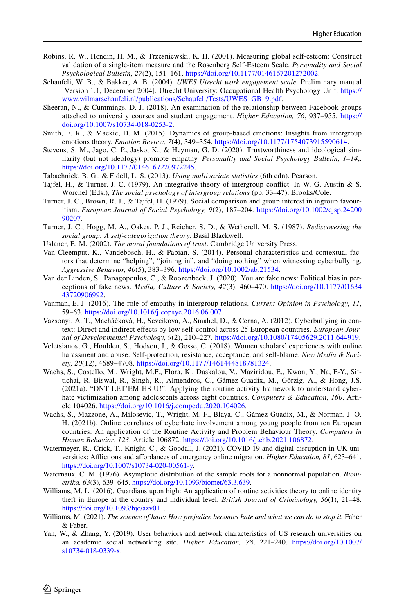- <span id="page-25-18"></span>Robins, R. W., Hendin, H. M., & Trzesniewski, K. H. (2001). Measuring global self-esteem: Construct validation of a single-item measure and the Rosenberg Self-Esteem Scale. *Personality and Social Psychological Bulletin, 27*(2), 151–161.<https://doi.org/10.1177/0146167201272002>.
- <span id="page-25-17"></span>Schaufeli, W. B., & Bakker, A. B. (2004). *UWES Utrecht work engagement scale.* Preliminary manual [Version 1.1, December 2004]. Utrecht University: Occupational Health Psychology Unit. [https://](https://www.wilmarschaufeli.nl/publications/Schaufeli/Tests/UWES_GB_9.pdf) [www.wilmarschaufeli.nl/publications/Schaufeli/Tests/UWES\\_GB\\_9.pdf](https://www.wilmarschaufeli.nl/publications/Schaufeli/Tests/UWES_GB_9.pdf).
- <span id="page-25-6"></span>Sheeran, N., & Cummings, D. J. (2018). An examination of the relationship between Facebook groups attached to university courses and student engagement. *Higher Education, 76*, 937–955. [https://](https://doi.org/10.1007/s10734-018-0253-2) [doi.org/10.1007/s10734-018-0253-2](https://doi.org/10.1007/s10734-018-0253-2).
- <span id="page-25-12"></span>Smith, E. R., & Mackie, D. M. (2015). Dynamics of group-based emotions: Insights from intergroup emotions theory. *Emotion Review, 7*(4), 349–354.<https://doi.org/10.1177/1754073915590614>.
- <span id="page-25-15"></span>Stevens, S. M., Jago, C. P., Jasko, K., & Heyman, G. D. (2020). Trustworthiness and ideological similarity (but not ideology) promote empathy. *Personality and Social Psychology Bulletin, 1–14*,. <https://doi.org/10.1177/0146167220972245>.
- <span id="page-25-20"></span>Tabachnick, B. G., & Fidell, L. S. (2013). *Using multivariate statistics* (6th edn). Pearson.
- <span id="page-25-9"></span>Tajfel, H., & Turner, J. C. (1979). An integrative theory of intergroup confict. In W. G. Austin & S. Worchel (Eds.), *The social psychology of intergroup relations* (pp. 33–47). Brooks/Cole.
- <span id="page-25-11"></span>Turner, J. C., Brown, R. J., & Tajfel, H. (1979). Social comparison and group interest in ingroup favouritism. *European Journal of Social Psychology, 9*(2), 187–204. [https://doi.org/10.1002/ejsp.24200](https://doi.org/10.1002/ejsp.2420090207) [90207.](https://doi.org/10.1002/ejsp.2420090207)
- <span id="page-25-10"></span>Turner, J. C., Hogg, M. A., Oakes, P. J., Reicher, S. D., & Wetherell, M. S. (1987). *Rediscovering the social group: A self-categorization theory.* Basil Blackwell.
- <span id="page-25-19"></span>Uslaner, E. M. (2002). *The moral foundations of trust*. Cambridge University Press.
- <span id="page-25-14"></span>Van Cleemput, K., Vandebosch, H., & Pabian, S. (2014). Personal characteristics and contextual factors that determine "helping", "joining in", and "doing nothing" when witnessing cyberbullying. *Aggressive Behavior, 40*(5), 383–396. <https://doi.org/10.1002/ab.21534>.
- <span id="page-25-1"></span>Van der Linden, S., Panagopoulos, C., & Roozenbeek, J. (2020). You are fake news: Political bias in perceptions of fake news. *Media, Culture & Society, 42*(3), 460–470. [https://doi.org/10.1177/01634](https://doi.org/10.1177/0163443720906992) [43720906992.](https://doi.org/10.1177/0163443720906992)
- <span id="page-25-13"></span>Vanman, E. J. (2016). The role of empathy in intergroup relations. *Current Opinion in Psychology, 11*, 59–63. [https://doi.org/10.1016/j.copsyc.2016.06.007.](https://doi.org/10.1016/j.copsyc.2016.06.007)
- <span id="page-25-8"></span>Vazsonyi, A. T., Macháčková, H., Sevcikova, A., Smahel, D., & Cerna, A. (2012). Cyberbullying in context: Direct and indirect efects by low self-control across 25 European countries. *European Journal of Developmental Psychology, 9*(2), 210–227. [https://doi.org/10.1080/17405629.2011.644919.](https://doi.org/10.1080/17405629.2011.644919)
- <span id="page-25-4"></span>Veletsianos, G., Houlden, S., Hodson, J., & Gosse, C. (2018). Women scholars' experiences with online harassment and abuse: Self-protection, resistance, acceptance, and self-blame. *New Media & Society, 20*(12), 4689–4708.<https://doi.org/10.1177/1461444818781324>.
- <span id="page-25-2"></span>Wachs, S., Costello, M., Wright, M.F., Flora, K., Daskalou, V., Maziridou, E., Kwon, Y., Na, E-Y., Sittichai, R. Biswal, R., Singh, R., Almendros, C., Gámez-Guadix, M., Görzig, A., & Hong, J.S. (2021a). "DNT LET'EM H8 U!": Applying the routine activity framework to understand cyberhate victimization among adolescents across eight countries. *Computers & Education*, *160*, Article 104026. [https://doi.org/10.1016/j.compedu.2020.104026.](https://doi.org/10.1016/j.compedu.2020.104026)
- <span id="page-25-3"></span>Wachs, S., Mazzone, A., Milosevic, T., Wright, M. F., Blaya, C., Gámez-Guadix, M., & Norman, J. O. H. (2021b). Online correlates of cyberhate involvement among young people from ten European countries: An application of the Routine Activity and Problem Behaviour Theory. *Computers in Human Behavior*, *123*, Article 106872. <https://doi.org/10.1016/j.chb.2021.106872>.
- <span id="page-25-7"></span>Watermeyer, R., Crick, T., Knight, C., & Goodall, J. (2021). COVID-19 and digital disruption in UK universities: Afictions and afordances of emergency online migration. *Higher Education, 81*, 623–641. <https://doi.org/10.1007/s10734-020-00561-y>.
- <span id="page-25-21"></span>Waternaux, C. M. (1976). Asymptotic distribution of the sample roots for a nonnormal population. *Biometrika, 63*(3), 639–645.<https://doi.org/10.1093/biomet/63.3.639>.
- <span id="page-25-16"></span>Williams, M. L. (2016). Guardians upon high: An application of routine activities theory to online identity theft in Europe at the country and individual level. *British Journal of Criminology, 56*(1), 21–48. [https://doi.org/10.1093/bjc/azv011.](https://doi.org/10.1093/bjc/azv011)
- <span id="page-25-0"></span>Williams, M. (2021). *The science of hate: How prejudice becomes hate and what we can do to stop it.* Faber & Faber.
- <span id="page-25-5"></span>Yan, W., & Zhang, Y. (2019). User behaviors and network characteristics of US research universities on an academic social networking site. *Higher Education, 78*, 221–240. [https://doi.org/10.1007/](https://doi.org/10.1007/s10734-018-0339-x) [s10734-018-0339-x](https://doi.org/10.1007/s10734-018-0339-x).